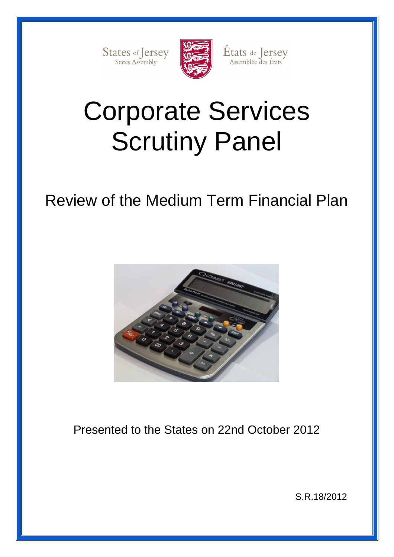States of Jersey



États de Jersey<br>Assemblée des États

# Corporate Services Scrutiny Panel

## Review of the Medium Term Financial Plan



Presented to the States on 22nd October 2012

S.R.18/2012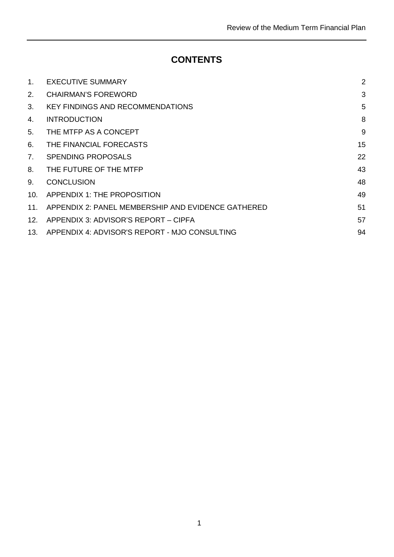## **CONTENTS**

| $1_{\cdot}$     | <b>EXECUTIVE SUMMARY</b>                           | $\overline{2}$ |
|-----------------|----------------------------------------------------|----------------|
| 2.              | <b>CHAIRMAN'S FOREWORD</b>                         | 3              |
| 3.              | <b>KEY FINDINGS AND RECOMMENDATIONS</b>            | 5              |
| 4.              | <b>INTRODUCTION</b>                                | 8              |
| 5.              | THE MTFP AS A CONCEPT                              | 9              |
| 6.              | THE FINANCIAL FORECASTS                            | 15             |
| 7.              | SPENDING PROPOSALS                                 | 22             |
| 8.              | THE FUTURE OF THE MTFP                             | 43             |
| 9.              | <b>CONCLUSION</b>                                  | 48             |
| 10 <sub>1</sub> | APPENDIX 1: THE PROPOSITION                        | 49             |
| 11 <sub>1</sub> | APPENDIX 2: PANEL MEMBERSHIP AND EVIDENCE GATHERED | 51             |
| 12.             | APPENDIX 3: ADVISOR'S REPORT - CIPFA               | 57             |
| 13.             | APPENDIX 4: ADVISOR'S REPORT - MJO CONSULTING      | 94             |
|                 |                                                    |                |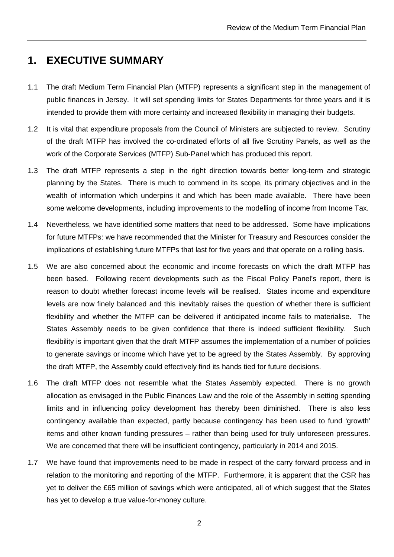## **1. EXECUTIVE SUMMARY**

- 1.1 The draft Medium Term Financial Plan (MTFP) represents a significant step in the management of public finances in Jersey. It will set spending limits for States Departments for three years and it is intended to provide them with more certainty and increased flexibility in managing their budgets.
- 1.2 It is vital that expenditure proposals from the Council of Ministers are subjected to review. Scrutiny of the draft MTFP has involved the co-ordinated efforts of all five Scrutiny Panels, as well as the work of the Corporate Services (MTFP) Sub-Panel which has produced this report.
- 1.3 The draft MTFP represents a step in the right direction towards better long-term and strategic planning by the States. There is much to commend in its scope, its primary objectives and in the wealth of information which underpins it and which has been made available. There have been some welcome developments, including improvements to the modelling of income from Income Tax.
- 1.4 Nevertheless, we have identified some matters that need to be addressed. Some have implications for future MTFPs: we have recommended that the Minister for Treasury and Resources consider the implications of establishing future MTFPs that last for five years and that operate on a rolling basis.
- 1.5 We are also concerned about the economic and income forecasts on which the draft MTFP has been based. Following recent developments such as the Fiscal Policy Panel's report, there is reason to doubt whether forecast income levels will be realised. States income and expenditure levels are now finely balanced and this inevitably raises the question of whether there is sufficient flexibility and whether the MTFP can be delivered if anticipated income fails to materialise. The States Assembly needs to be given confidence that there is indeed sufficient flexibility. Such flexibility is important given that the draft MTFP assumes the implementation of a number of policies to generate savings or income which have yet to be agreed by the States Assembly. By approving the draft MTFP, the Assembly could effectively find its hands tied for future decisions.
- 1.6 The draft MTFP does not resemble what the States Assembly expected. There is no growth allocation as envisaged in the Public Finances Law and the role of the Assembly in setting spending limits and in influencing policy development has thereby been diminished. There is also less contingency available than expected, partly because contingency has been used to fund 'growth' items and other known funding pressures – rather than being used for truly unforeseen pressures. We are concerned that there will be insufficient contingency, particularly in 2014 and 2015.
- 1.7 We have found that improvements need to be made in respect of the carry forward process and in relation to the monitoring and reporting of the MTFP. Furthermore, it is apparent that the CSR has yet to deliver the £65 million of savings which were anticipated, all of which suggest that the States has yet to develop a true value-for-money culture.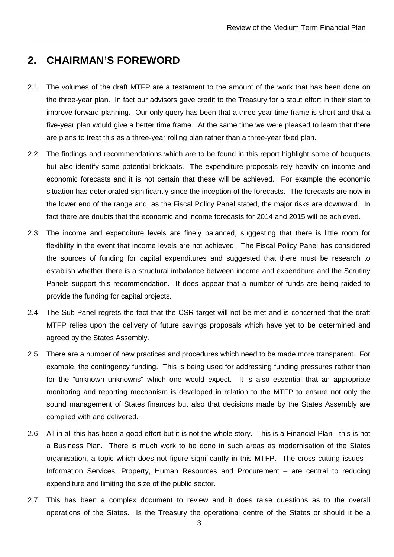### **2. CHAIRMAN'S FOREWORD**

- 2.1 The volumes of the draft MTFP are a testament to the amount of the work that has been done on the three-year plan. In fact our advisors gave credit to the Treasury for a stout effort in their start to improve forward planning. Our only query has been that a three-year time frame is short and that a five-year plan would give a better time frame. At the same time we were pleased to learn that there are plans to treat this as a three-year rolling plan rather than a three-year fixed plan.
- 2.2 The findings and recommendations which are to be found in this report highlight some of bouquets but also identify some potential brickbats. The expenditure proposals rely heavily on income and economic forecasts and it is not certain that these will be achieved. For example the economic situation has deteriorated significantly since the inception of the forecasts. The forecasts are now in the lower end of the range and, as the Fiscal Policy Panel stated, the major risks are downward. In fact there are doubts that the economic and income forecasts for 2014 and 2015 will be achieved.
- 2.3 The income and expenditure levels are finely balanced, suggesting that there is little room for flexibility in the event that income levels are not achieved. The Fiscal Policy Panel has considered the sources of funding for capital expenditures and suggested that there must be research to establish whether there is a structural imbalance between income and expenditure and the Scrutiny Panels support this recommendation. It does appear that a number of funds are being raided to provide the funding for capital projects.
- 2.4 The Sub-Panel regrets the fact that the CSR target will not be met and is concerned that the draft MTFP relies upon the delivery of future savings proposals which have yet to be determined and agreed by the States Assembly.
- 2.5 There are a number of new practices and procedures which need to be made more transparent. For example, the contingency funding. This is being used for addressing funding pressures rather than for the "unknown unknowns" which one would expect. It is also essential that an appropriate monitoring and reporting mechanism is developed in relation to the MTFP to ensure not only the sound management of States finances but also that decisions made by the States Assembly are complied with and delivered.
- 2.6 All in all this has been a good effort but it is not the whole story. This is a Financial Plan this is not a Business Plan. There is much work to be done in such areas as modernisation of the States organisation, a topic which does not figure significantly in this MTFP. The cross cutting issues – Information Services, Property, Human Resources and Procurement – are central to reducing expenditure and limiting the size of the public sector.
- 2.7 This has been a complex document to review and it does raise questions as to the overall operations of the States. Is the Treasury the operational centre of the States or should it be a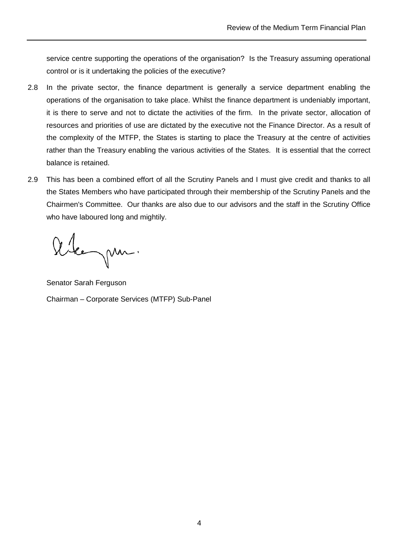service centre supporting the operations of the organisation? Is the Treasury assuming operational control or is it undertaking the policies of the executive?

- 2.8 In the private sector, the finance department is generally a service department enabling the operations of the organisation to take place. Whilst the finance department is undeniably important, it is there to serve and not to dictate the activities of the firm. In the private sector, allocation of resources and priorities of use are dictated by the executive not the Finance Director. As a result of the complexity of the MTFP, the States is starting to place the Treasury at the centre of activities rather than the Treasury enabling the various activities of the States. It is essential that the correct balance is retained.
- 2.9 This has been a combined effort of all the Scrutiny Panels and I must give credit and thanks to all the States Members who have participated through their membership of the Scrutiny Panels and the Chairmen's Committee. Our thanks are also due to our advisors and the staff in the Scrutiny Office who have laboured long and mightily.

Alegan.

Senator Sarah Ferguson Chairman – Corporate Services (MTFP) Sub-Panel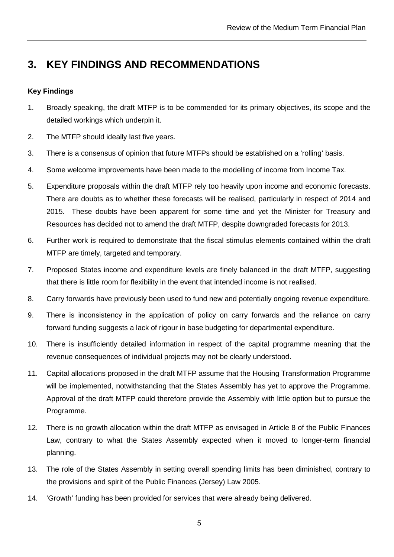## **3. KEY FINDINGS AND RECOMMENDATIONS**

#### **Key Findings**

- 1. Broadly speaking, the draft MTFP is to be commended for its primary objectives, its scope and the detailed workings which underpin it.
- 2. The MTFP should ideally last five years.
- 3. There is a consensus of opinion that future MTFPs should be established on a 'rolling' basis.
- 4. Some welcome improvements have been made to the modelling of income from Income Tax.
- 5. Expenditure proposals within the draft MTFP rely too heavily upon income and economic forecasts. There are doubts as to whether these forecasts will be realised, particularly in respect of 2014 and 2015. These doubts have been apparent for some time and yet the Minister for Treasury and Resources has decided not to amend the draft MTFP, despite downgraded forecasts for 2013.
- 6. Further work is required to demonstrate that the fiscal stimulus elements contained within the draft MTFP are timely, targeted and temporary.
- 7. Proposed States income and expenditure levels are finely balanced in the draft MTFP, suggesting that there is little room for flexibility in the event that intended income is not realised.
- 8. Carry forwards have previously been used to fund new and potentially ongoing revenue expenditure.
- 9. There is inconsistency in the application of policy on carry forwards and the reliance on carry forward funding suggests a lack of rigour in base budgeting for departmental expenditure.
- 10. There is insufficiently detailed information in respect of the capital programme meaning that the revenue consequences of individual projects may not be clearly understood.
- 11. Capital allocations proposed in the draft MTFP assume that the Housing Transformation Programme will be implemented, notwithstanding that the States Assembly has yet to approve the Programme. Approval of the draft MTFP could therefore provide the Assembly with little option but to pursue the Programme.
- 12. There is no growth allocation within the draft MTFP as envisaged in Article 8 of the Public Finances Law, contrary to what the States Assembly expected when it moved to longer-term financial planning.
- 13. The role of the States Assembly in setting overall spending limits has been diminished, contrary to the provisions and spirit of the Public Finances (Jersey) Law 2005.
- 14. 'Growth' funding has been provided for services that were already being delivered.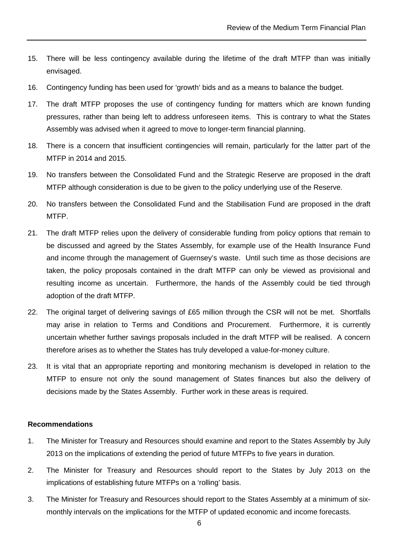- 15. There will be less contingency available during the lifetime of the draft MTFP than was initially envisaged.
- 16. Contingency funding has been used for 'growth' bids and as a means to balance the budget.
- 17. The draft MTFP proposes the use of contingency funding for matters which are known funding pressures, rather than being left to address unforeseen items. This is contrary to what the States Assembly was advised when it agreed to move to longer-term financial planning.
- 18. There is a concern that insufficient contingencies will remain, particularly for the latter part of the MTFP in 2014 and 2015.
- 19. No transfers between the Consolidated Fund and the Strategic Reserve are proposed in the draft MTFP although consideration is due to be given to the policy underlying use of the Reserve.
- 20. No transfers between the Consolidated Fund and the Stabilisation Fund are proposed in the draft MTFP.
- 21. The draft MTFP relies upon the delivery of considerable funding from policy options that remain to be discussed and agreed by the States Assembly, for example use of the Health Insurance Fund and income through the management of Guernsey's waste. Until such time as those decisions are taken, the policy proposals contained in the draft MTFP can only be viewed as provisional and resulting income as uncertain. Furthermore, the hands of the Assembly could be tied through adoption of the draft MTFP.
- 22. The original target of delivering savings of £65 million through the CSR will not be met. Shortfalls may arise in relation to Terms and Conditions and Procurement. Furthermore, it is currently uncertain whether further savings proposals included in the draft MTFP will be realised. A concern therefore arises as to whether the States has truly developed a value-for-money culture.
- 23. It is vital that an appropriate reporting and monitoring mechanism is developed in relation to the MTFP to ensure not only the sound management of States finances but also the delivery of decisions made by the States Assembly. Further work in these areas is required.

#### **Recommendations**

- 1. The Minister for Treasury and Resources should examine and report to the States Assembly by July 2013 on the implications of extending the period of future MTFPs to five years in duration.
- 2. The Minister for Treasury and Resources should report to the States by July 2013 on the implications of establishing future MTFPs on a 'rolling' basis.
- 3. The Minister for Treasury and Resources should report to the States Assembly at a minimum of sixmonthly intervals on the implications for the MTFP of updated economic and income forecasts.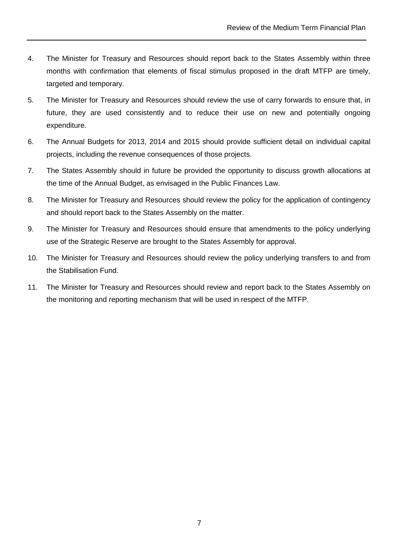- 4. The Minister for Treasury and Resources should report back to the States Assembly within three months with confirmation that elements of fiscal stimulus proposed in the draft MTFP are timely, targeted and temporary.
- 5. The Minister for Treasury and Resources should review the use of carry forwards to ensure that, in future, they are used consistently and to reduce their use on new and potentially ongoing expenditure.
- 6. The Annual Budgets for 2013, 2014 and 2015 should provide sufficient detail on individual capital projects, including the revenue consequences of those projects.
- 7. The States Assembly should in future be provided the opportunity to discuss growth allocations at the time of the Annual Budget, as envisaged in the Public Finances Law.
- 8. The Minister for Treasury and Resources should review the policy for the application of contingency and should report back to the States Assembly on the matter.
- 9. The Minister for Treasury and Resources should ensure that amendments to the policy underlying use of the Strategic Reserve are brought to the States Assembly for approval.
- 10. The Minister for Treasury and Resources should review the policy underlying transfers to and from the Stabilisation Fund.
- 11. The Minister for Treasury and Resources should review and report back to the States Assembly on the monitoring and reporting mechanism that will be used in respect of the MTFP.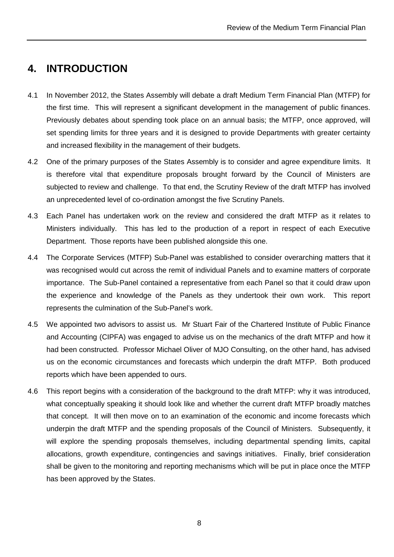## **4. INTRODUCTION**

- 4.1 In November 2012, the States Assembly will debate a draft Medium Term Financial Plan (MTFP) for the first time. This will represent a significant development in the management of public finances. Previously debates about spending took place on an annual basis; the MTFP, once approved, will set spending limits for three years and it is designed to provide Departments with greater certainty and increased flexibility in the management of their budgets.
- 4.2 One of the primary purposes of the States Assembly is to consider and agree expenditure limits. It is therefore vital that expenditure proposals brought forward by the Council of Ministers are subjected to review and challenge. To that end, the Scrutiny Review of the draft MTFP has involved an unprecedented level of co-ordination amongst the five Scrutiny Panels.
- 4.3 Each Panel has undertaken work on the review and considered the draft MTFP as it relates to Ministers individually. This has led to the production of a report in respect of each Executive Department. Those reports have been published alongside this one.
- 4.4 The Corporate Services (MTFP) Sub-Panel was established to consider overarching matters that it was recognised would cut across the remit of individual Panels and to examine matters of corporate importance. The Sub-Panel contained a representative from each Panel so that it could draw upon the experience and knowledge of the Panels as they undertook their own work. This report represents the culmination of the Sub-Panel's work.
- 4.5 We appointed two advisors to assist us. Mr Stuart Fair of the Chartered Institute of Public Finance and Accounting (CIPFA) was engaged to advise us on the mechanics of the draft MTFP and how it had been constructed. Professor Michael Oliver of MJO Consulting, on the other hand, has advised us on the economic circumstances and forecasts which underpin the draft MTFP. Both produced reports which have been appended to ours.
- 4.6 This report begins with a consideration of the background to the draft MTFP: why it was introduced, what conceptually speaking it should look like and whether the current draft MTFP broadly matches that concept. It will then move on to an examination of the economic and income forecasts which underpin the draft MTFP and the spending proposals of the Council of Ministers. Subsequently, it will explore the spending proposals themselves, including departmental spending limits, capital allocations, growth expenditure, contingencies and savings initiatives. Finally, brief consideration shall be given to the monitoring and reporting mechanisms which will be put in place once the MTFP has been approved by the States.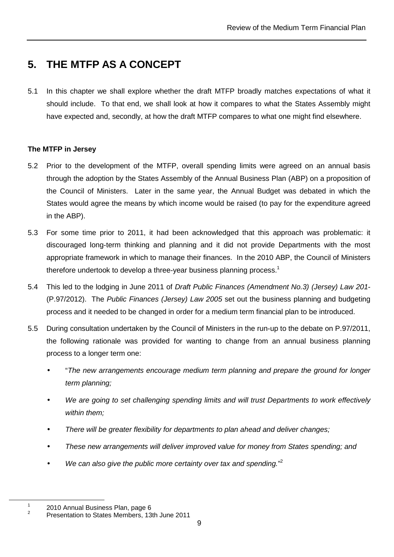## **5. THE MTFP AS A CONCEPT**

5.1 In this chapter we shall explore whether the draft MTFP broadly matches expectations of what it should include. To that end, we shall look at how it compares to what the States Assembly might have expected and, secondly, at how the draft MTFP compares to what one might find elsewhere.

#### **The MTFP in Jersey**

- 5.2 Prior to the development of the MTFP, overall spending limits were agreed on an annual basis through the adoption by the States Assembly of the Annual Business Plan (ABP) on a proposition of the Council of Ministers. Later in the same year, the Annual Budget was debated in which the States would agree the means by which income would be raised (to pay for the expenditure agreed in the ABP).
- 5.3 For some time prior to 2011, it had been acknowledged that this approach was problematic: it discouraged long-term thinking and planning and it did not provide Departments with the most appropriate framework in which to manage their finances. In the 2010 ABP, the Council of Ministers therefore undertook to develop a three-year business planning process.<sup>1</sup>
- 5.4 This led to the lodging in June 2011 of Draft Public Finances (Amendment No.3) (Jersey) Law 201-(P.97/2012). The Public Finances (Jersey) Law 2005 set out the business planning and budgeting process and it needed to be changed in order for a medium term financial plan to be introduced.
- 5.5 During consultation undertaken by the Council of Ministers in the run-up to the debate on P.97/2011, the following rationale was provided for wanting to change from an annual business planning process to a longer term one:
	- "The new arrangements encourage medium term planning and prepare the ground for longer term planning;
	- We are going to set challenging spending limits and will trust Departments to work effectively within them;
	- There will be greater flexibility for departments to plan ahead and deliver changes;
	- These new arrangements will deliver improved value for money from States spending; and
	- $\bullet$  We can also give the public more certainty over tax and spending."<sup>2</sup>

<sup>1</sup> 2010 Annual Business Plan, page 6

<sup>2</sup> Presentation to States Members, 13th June 2011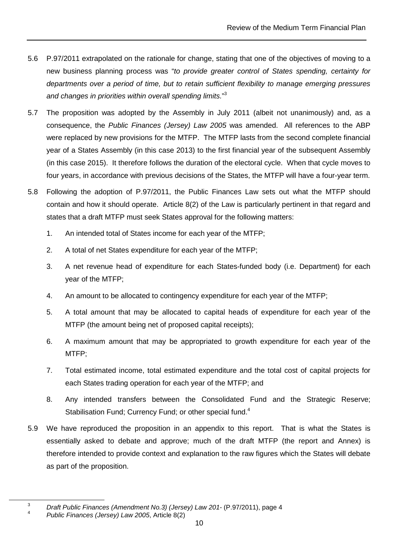- 5.6 P.97/2011 extrapolated on the rationale for change, stating that one of the objectives of moving to a new business planning process was "to provide greater control of States spending, certainty for departments over a period of time, but to retain sufficient flexibility to manage emerging pressures and changes in priorities within overall spending limits."<sup>3</sup>
- 5.7 The proposition was adopted by the Assembly in July 2011 (albeit not unanimously) and, as a consequence, the Public Finances (Jersey) Law 2005 was amended. All references to the ABP were replaced by new provisions for the MTFP. The MTFP lasts from the second complete financial year of a States Assembly (in this case 2013) to the first financial year of the subsequent Assembly (in this case 2015). It therefore follows the duration of the electoral cycle. When that cycle moves to four years, in accordance with previous decisions of the States, the MTFP will have a four-year term.
- 5.8 Following the adoption of P.97/2011, the Public Finances Law sets out what the MTFP should contain and how it should operate. Article 8(2) of the Law is particularly pertinent in that regard and states that a draft MTFP must seek States approval for the following matters:
	- 1. An intended total of States income for each year of the MTFP;
	- 2. A total of net States expenditure for each year of the MTFP;
	- 3. A net revenue head of expenditure for each States-funded body (i.e. Department) for each year of the MTFP;
	- 4. An amount to be allocated to contingency expenditure for each year of the MTFP;
	- 5. A total amount that may be allocated to capital heads of expenditure for each year of the MTFP (the amount being net of proposed capital receipts);
	- 6. A maximum amount that may be appropriated to growth expenditure for each year of the MTFP;
	- 7. Total estimated income, total estimated expenditure and the total cost of capital projects for each States trading operation for each year of the MTFP; and
	- 8. Any intended transfers between the Consolidated Fund and the Strategic Reserve; Stabilisation Fund; Currency Fund; or other special fund.<sup>4</sup>
- 5.9 We have reproduced the proposition in an appendix to this report. That is what the States is essentially asked to debate and approve; much of the draft MTFP (the report and Annex) is therefore intended to provide context and explanation to the raw figures which the States will debate as part of the proposition.

<sup>3</sup> Draft Public Finances (Amendment No.3) (Jersey) Law 201- (P.97/2011), page 4 4

Public Finances (Jersey) Law 2005, Article 8(2)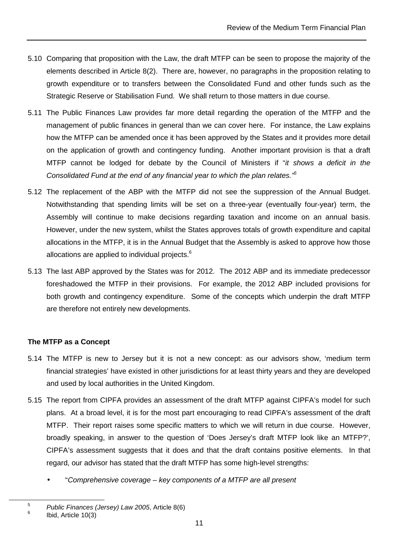- 5.10 Comparing that proposition with the Law, the draft MTFP can be seen to propose the majority of the elements described in Article 8(2). There are, however, no paragraphs in the proposition relating to growth expenditure or to transfers between the Consolidated Fund and other funds such as the Strategic Reserve or Stabilisation Fund. We shall return to those matters in due course.
- 5.11 The Public Finances Law provides far more detail regarding the operation of the MTFP and the management of public finances in general than we can cover here. For instance, the Law explains how the MTFP can be amended once it has been approved by the States and it provides more detail on the application of growth and contingency funding. Another important provision is that a draft MTFP cannot be lodged for debate by the Council of Ministers if "it shows a deficit in the Consolidated Fund at the end of any financial year to which the plan relates."<sup>5</sup>
- 5.12 The replacement of the ABP with the MTFP did not see the suppression of the Annual Budget. Notwithstanding that spending limits will be set on a three-year (eventually four-year) term, the Assembly will continue to make decisions regarding taxation and income on an annual basis. However, under the new system, whilst the States approves totals of growth expenditure and capital allocations in the MTFP, it is in the Annual Budget that the Assembly is asked to approve how those allocations are applied to individual projects.<sup>6</sup>
- 5.13 The last ABP approved by the States was for 2012. The 2012 ABP and its immediate predecessor foreshadowed the MTFP in their provisions. For example, the 2012 ABP included provisions for both growth and contingency expenditure. Some of the concepts which underpin the draft MTFP are therefore not entirely new developments.

#### **The MTFP as a Concept**

- 5.14 The MTFP is new to Jersey but it is not a new concept: as our advisors show, 'medium term financial strategies' have existed in other jurisdictions for at least thirty years and they are developed and used by local authorities in the United Kingdom.
- 5.15 The report from CIPFA provides an assessment of the draft MTFP against CIPFA's model for such plans. At a broad level, it is for the most part encouraging to read CIPFA's assessment of the draft MTFP. Their report raises some specific matters to which we will return in due course. However, broadly speaking, in answer to the question of 'Does Jersey's draft MTFP look like an MTFP?', CIPFA's assessment suggests that it does and that the draft contains positive elements. In that regard, our advisor has stated that the draft MTFP has some high-level strengths:
	- "Comprehensive coverage key components of a MTFP are all present

<sup>5</sup> Public Finances (Jersey) Law 2005, Article 8(6)

<sup>6</sup> Ibid, Article 10(3)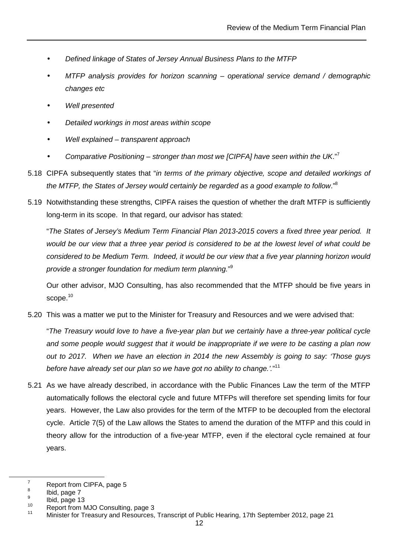- Defined linkage of States of Jersey Annual Business Plans to the MTFP
- MTFP analysis provides for horizon scanning  $-$  operational service demand / demographic changes etc
- Well presented
- Detailed workings in most areas within scope
- Well explained transparent approach
- Comparative Positioning stronger than most we [CIPFA] have seen within the UK."<sup>7</sup>
- 5.18 CIPFA subsequently states that "in terms of the primary objective, scope and detailed workings of the MTFP, the States of Jersey would certainly be regarded as a good example to follow."<sup>8</sup>
- 5.19 Notwithstanding these strengths, CIPFA raises the question of whether the draft MTFP is sufficiently long-term in its scope. In that regard, our advisor has stated:

"The States of Jersey's Medium Term Financial Plan 2013-2015 covers a fixed three year period. It would be our view that a three year period is considered to be at the lowest level of what could be considered to be Medium Term. Indeed, it would be our view that a five year planning horizon would provide a stronger foundation for medium term planning."<sup>9</sup>

Our other advisor, MJO Consulting, has also recommended that the MTFP should be five years in scope.<sup>10</sup>

5.20 This was a matter we put to the Minister for Treasury and Resources and we were advised that:

"The Treasury would love to have a five-year plan but we certainly have a three-year political cycle and some people would suggest that it would be inappropriate if we were to be casting a plan now out to 2017. When we have an election in 2014 the new Assembly is going to say: 'Those guys before have already set our plan so we have got no ability to change.'."<sup>11</sup>

5.21 As we have already described, in accordance with the Public Finances Law the term of the MTFP automatically follows the electoral cycle and future MTFPs will therefore set spending limits for four years. However, the Law also provides for the term of the MTFP to be decoupled from the electoral cycle. Article 7(5) of the Law allows the States to amend the duration of the MTFP and this could in theory allow for the introduction of a five-year MTFP, even if the electoral cycle remained at four years.

<sup>7</sup> Report from CIPFA, page 5

<sup>8</sup> Ibid, page 7 9

 $\frac{9}{10}$  Ibid, page 13

<sup>&</sup>lt;sup>10</sup> Report from MJO Consulting, page 3

<sup>11</sup> Minister for Treasury and Resources, Transcript of Public Hearing, 17th September 2012, page 21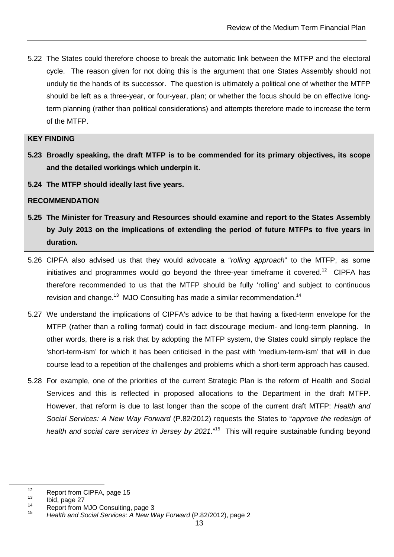5.22 The States could therefore choose to break the automatic link between the MTFP and the electoral cycle. The reason given for not doing this is the argument that one States Assembly should not unduly tie the hands of its successor. The question is ultimately a political one of whether the MTFP should be left as a three-year, or four-year, plan; or whether the focus should be on effective longterm planning (rather than political considerations) and attempts therefore made to increase the term of the MTFP.

#### **KEY FINDING**

- **5.23 Broadly speaking, the draft MTFP is to be commended for its primary objectives, its scope and the detailed workings which underpin it.**
- **5.24 The MTFP should ideally last five years.**

#### **RECOMMENDATION**

- **5.25 The Minister for Treasury and Resources should examine and report to the States Assembly by July 2013 on the implications of extending the period of future MTFPs to five years in duration.**
- 5.26 CIPFA also advised us that they would advocate a "rolling approach" to the MTFP, as some initiatives and programmes would go beyond the three-year timeframe it covered.<sup>12</sup> CIPFA has therefore recommended to us that the MTFP should be fully 'rolling' and subject to continuous revision and change.<sup>13</sup> MJO Consulting has made a similar recommendation.<sup>14</sup>
- 5.27 We understand the implications of CIPFA's advice to be that having a fixed-term envelope for the MTFP (rather than a rolling format) could in fact discourage medium- and long-term planning. In other words, there is a risk that by adopting the MTFP system, the States could simply replace the 'short-term-ism' for which it has been criticised in the past with 'medium-term-ism' that will in due course lead to a repetition of the challenges and problems which a short-term approach has caused.
- 5.28 For example, one of the priorities of the current Strategic Plan is the reform of Health and Social Services and this is reflected in proposed allocations to the Department in the draft MTFP. However, that reform is due to last longer than the scope of the current draft MTFP: Health and Social Services: A New Way Forward (P.82/2012) requests the States to "approve the redesign of health and social care services in Jersey by 2021."<sup>15</sup> This will require sustainable funding beyond

 $12$  Report from CIPFA, page 15

 $\frac{13}{14}$  Ibid, page 27

Report from MJO Consulting, page 3 15

Health and Social Services: A New Way Forward (P.82/2012), page 2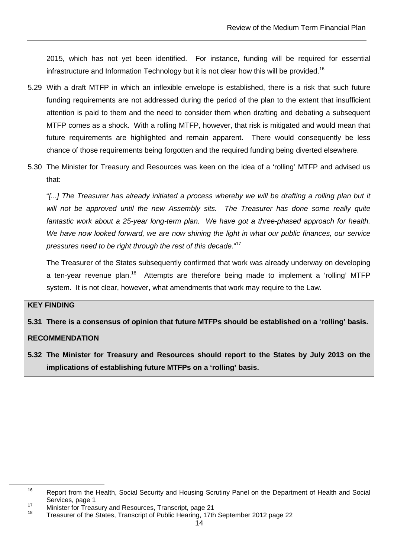2015, which has not yet been identified. For instance, funding will be required for essential infrastructure and Information Technology but it is not clear how this will be provided.<sup>16</sup>

- 5.29 With a draft MTFP in which an inflexible envelope is established, there is a risk that such future funding requirements are not addressed during the period of the plan to the extent that insufficient attention is paid to them and the need to consider them when drafting and debating a subsequent MTFP comes as a shock. With a rolling MTFP, however, that risk is mitigated and would mean that future requirements are highlighted and remain apparent. There would consequently be less chance of those requirements being forgotten and the required funding being diverted elsewhere.
- 5.30 The Minister for Treasury and Resources was keen on the idea of a 'rolling' MTFP and advised us that:

"[...] The Treasurer has already initiated a process whereby we will be drafting a rolling plan but it will not be approved until the new Assembly sits. The Treasurer has done some really quite fantastic work about a 25-year long-term plan. We have got a three-phased approach for health. We have now looked forward, we are now shining the light in what our public finances, our service pressures need to be right through the rest of this decade."<sup>17</sup>

The Treasurer of the States subsequently confirmed that work was already underway on developing a ten-year revenue plan.<sup>18</sup> Attempts are therefore being made to implement a 'rolling' MTFP system. It is not clear, however, what amendments that work may require to the Law.

#### **KEY FINDING**

 $\overline{a}$ 

**5.31 There is a consensus of opinion that future MTFPs should be established on a 'rolling' basis.** 

#### **RECOMMENDATION**

**5.32 The Minister for Treasury and Resources should report to the States by July 2013 on the implications of establishing future MTFPs on a 'rolling' basis.** 

<sup>&</sup>lt;sup>16</sup> Report from the Health, Social Security and Housing Scrutiny Panel on the Department of Health and Social Services, page 1

<sup>17</sup> Minister for Treasury and Resources, Transcript, page 21

Treasurer of the States, Transcript of Public Hearing, 17th September 2012 page 22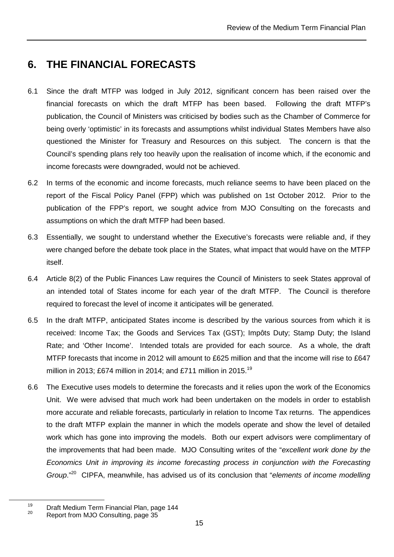## **6. THE FINANCIAL FORECASTS**

- 6.1 Since the draft MTFP was lodged in July 2012, significant concern has been raised over the financial forecasts on which the draft MTFP has been based. Following the draft MTFP's publication, the Council of Ministers was criticised by bodies such as the Chamber of Commerce for being overly 'optimistic' in its forecasts and assumptions whilst individual States Members have also questioned the Minister for Treasury and Resources on this subject. The concern is that the Council's spending plans rely too heavily upon the realisation of income which, if the economic and income forecasts were downgraded, would not be achieved.
- 6.2 In terms of the economic and income forecasts, much reliance seems to have been placed on the report of the Fiscal Policy Panel (FPP) which was published on 1st October 2012. Prior to the publication of the FPP's report, we sought advice from MJO Consulting on the forecasts and assumptions on which the draft MTFP had been based.
- 6.3 Essentially, we sought to understand whether the Executive's forecasts were reliable and, if they were changed before the debate took place in the States, what impact that would have on the MTFP itself.
- 6.4 Article 8(2) of the Public Finances Law requires the Council of Ministers to seek States approval of an intended total of States income for each year of the draft MTFP. The Council is therefore required to forecast the level of income it anticipates will be generated.
- 6.5 In the draft MTFP, anticipated States income is described by the various sources from which it is received: Income Tax; the Goods and Services Tax (GST); Impôts Duty; Stamp Duty; the Island Rate; and 'Other Income'. Intended totals are provided for each source. As a whole, the draft MTFP forecasts that income in 2012 will amount to £625 million and that the income will rise to £647 million in 2013; £674 million in 2014; and £711 million in 2015.<sup>19</sup>
- 6.6 The Executive uses models to determine the forecasts and it relies upon the work of the Economics Unit. We were advised that much work had been undertaken on the models in order to establish more accurate and reliable forecasts, particularly in relation to Income Tax returns. The appendices to the draft MTFP explain the manner in which the models operate and show the level of detailed work which has gone into improving the models. Both our expert advisors were complimentary of the improvements that had been made. MJO Consulting writes of the "excellent work done by the Economics Unit in improving its income forecasting process in conjunction with the Forecasting Group."<sup>20</sup> CIPFA, meanwhile, has advised us of its conclusion that "elements of income modelling

<sup>&</sup>lt;sup>19</sup> Draft Medium Term Financial Plan, page 144

Report from MJO Consulting, page 35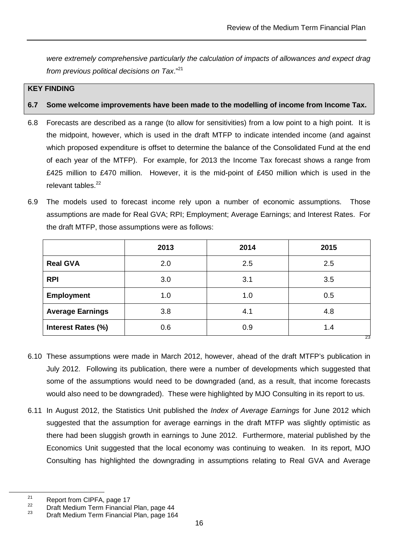were extremely comprehensive particularly the calculation of impacts of allowances and expect drag from previous political decisions on Tax."<sup>21</sup>

#### **KEY FINDING**

#### **6.7 Some welcome improvements have been made to the modelling of income from Income Tax.**

- 6.8 Forecasts are described as a range (to allow for sensitivities) from a low point to a high point. It is the midpoint, however, which is used in the draft MTFP to indicate intended income (and against which proposed expenditure is offset to determine the balance of the Consolidated Fund at the end of each year of the MTFP). For example, for 2013 the Income Tax forecast shows a range from £425 million to £470 million. However, it is the mid-point of £450 million which is used in the relevant tables.<sup>22</sup>
- 6.9 The models used to forecast income rely upon a number of economic assumptions. Those assumptions are made for Real GVA; RPI; Employment; Average Earnings; and Interest Rates. For the draft MTFP, those assumptions were as follows:

|                           | 2013 | 2014 | 2015      |
|---------------------------|------|------|-----------|
| <b>Real GVA</b>           | 2.0  | 2.5  | 2.5       |
| <b>RPI</b>                | 3.0  | 3.1  | 3.5       |
| <b>Employment</b>         | 1.0  | 1.0  | 0.5       |
| <b>Average Earnings</b>   | 3.8  | 4.1  | 4.8       |
| <b>Interest Rates (%)</b> | 0.6  | 0.9  | 1.4<br>23 |

- 6.10 These assumptions were made in March 2012, however, ahead of the draft MTFP's publication in July 2012. Following its publication, there were a number of developments which suggested that some of the assumptions would need to be downgraded (and, as a result, that income forecasts would also need to be downgraded). These were highlighted by MJO Consulting in its report to us.
- 6.11 In August 2012, the Statistics Unit published the *Index of Average Earnings* for June 2012 which suggested that the assumption for average earnings in the draft MTFP was slightly optimistic as there had been sluggish growth in earnings to June 2012. Furthermore, material published by the Economics Unit suggested that the local economy was continuing to weaken. In its report, MJO Consulting has highlighted the downgrading in assumptions relating to Real GVA and Average

<sup>&</sup>lt;sup>21</sup> Report from CIPFA, page 17<br><sup>22</sup> Preft Medium Term Financial

<sup>&</sup>lt;sup>22</sup> Draft Medium Term Financial Plan, page 44<br><sup>23</sup> Draft Medium Term Financial Plan, page 46

Draft Medium Term Financial Plan, page 164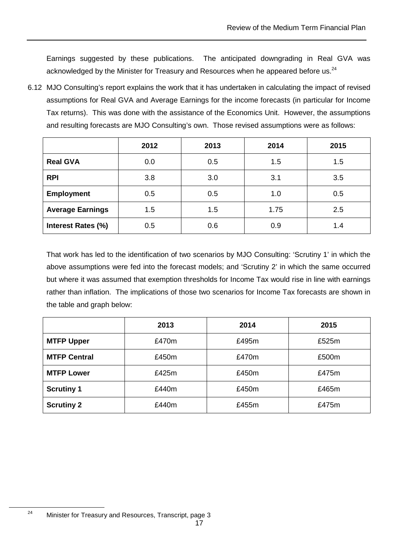Earnings suggested by these publications. The anticipated downgrading in Real GVA was acknowledged by the Minister for Treasury and Resources when he appeared before us.<sup>24</sup>

6.12 MJO Consulting's report explains the work that it has undertaken in calculating the impact of revised assumptions for Real GVA and Average Earnings for the income forecasts (in particular for Income Tax returns). This was done with the assistance of the Economics Unit. However, the assumptions and resulting forecasts are MJO Consulting's own. Those revised assumptions were as follows:

|                         | 2012 | 2013 | 2014 | 2015 |
|-------------------------|------|------|------|------|
| <b>Real GVA</b>         | 0.0  | 0.5  | 1.5  | 1.5  |
| <b>RPI</b>              | 3.8  | 3.0  | 3.1  | 3.5  |
| <b>Employment</b>       | 0.5  | 0.5  | 1.0  | 0.5  |
| <b>Average Earnings</b> | 1.5  | 1.5  | 1.75 | 2.5  |
| Interest Rates (%)      | 0.5  | 0.6  | 0.9  | 1.4  |

That work has led to the identification of two scenarios by MJO Consulting: 'Scrutiny 1' in which the above assumptions were fed into the forecast models; and 'Scrutiny 2' in which the same occurred but where it was assumed that exemption thresholds for Income Tax would rise in line with earnings rather than inflation. The implications of those two scenarios for Income Tax forecasts are shown in the table and graph below:

|                     | 2013  | 2014  | 2015  |
|---------------------|-------|-------|-------|
| <b>MTFP Upper</b>   | £470m | £495m | £525m |
| <b>MTFP Central</b> | £450m | £470m | £500m |
| <b>MTFP Lower</b>   | £425m | £450m | £475m |
| <b>Scrutiny 1</b>   | £440m | £450m | £465m |
| <b>Scrutiny 2</b>   | £440m | £455m | £475m |

<sup>&</sup>lt;sup>24</sup> Minister for Treasury and Resources, Transcript, page 3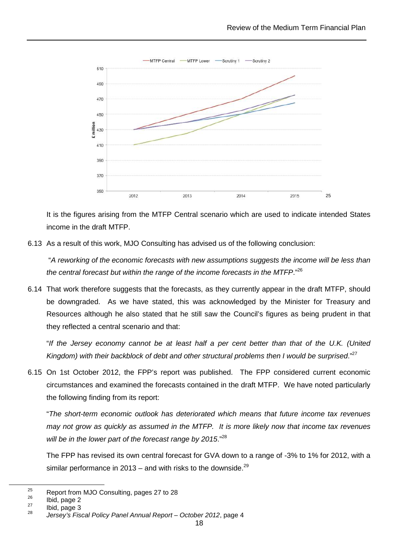

It is the figures arising from the MTFP Central scenario which are used to indicate intended States income in the draft MTFP.

6.13 As a result of this work, MJO Consulting has advised us of the following conclusion:

 "A reworking of the economic forecasts with new assumptions suggests the income will be less than the central forecast but within the range of the income forecasts in the MTFP." $^{26}$ 

6.14 That work therefore suggests that the forecasts, as they currently appear in the draft MTFP, should be downgraded. As we have stated, this was acknowledged by the Minister for Treasury and Resources although he also stated that he still saw the Council's figures as being prudent in that they reflected a central scenario and that:

"If the Jersey economy cannot be at least half a per cent better than that of the U.K. (United Kingdom) with their backblock of debt and other structural problems then I would be surprised." $^{27}$ 

6.15 On 1st October 2012, the FPP's report was published. The FPP considered current economic circumstances and examined the forecasts contained in the draft MTFP. We have noted particularly the following finding from its report:

"The short-term economic outlook has deteriorated which means that future income tax revenues may not grow as quickly as assumed in the MTFP. It is more likely now that income tax revenues will be in the lower part of the forecast range by 2015."<sup>28</sup>

The FPP has revised its own central forecast for GVA down to a range of -3% to 1% for 2012, with a similar performance in 2013 – and with risks to the downside. $^{29}$ 

<sup>&</sup>lt;sup>25</sup> Report from MJO Consulting, pages 27 to 28

 $\frac{26}{27}$  Ibid, page 2

Ibid, page 3 28

Jersey's Fiscal Policy Panel Annual Report – October 2012, page 4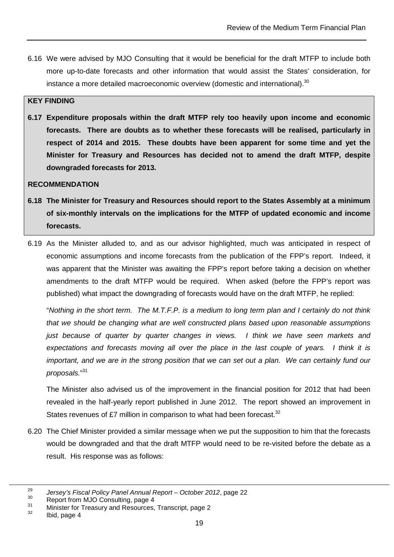6.16 We were advised by MJO Consulting that it would be beneficial for the draft MTFP to include both more up-to-date forecasts and other information that would assist the States' consideration, for instance a more detailed macroeconomic overview (domestic and international). $30$ 

#### **KEY FINDING**

**6.17 Expenditure proposals within the draft MTFP rely too heavily upon income and economic forecasts. There are doubts as to whether these forecasts will be realised, particularly in respect of 2014 and 2015. These doubts have been apparent for some time and yet the Minister for Treasury and Resources has decided not to amend the draft MTFP, despite downgraded forecasts for 2013.** 

#### **RECOMMENDATION**

- **6.18 The Minister for Treasury and Resources should report to the States Assembly at a minimum of six-monthly intervals on the implications for the MTFP of updated economic and income forecasts.**
- 6.19 As the Minister alluded to, and as our advisor highlighted, much was anticipated in respect of economic assumptions and income forecasts from the publication of the FPP's report. Indeed, it was apparent that the Minister was awaiting the FPP's report before taking a decision on whether amendments to the draft MTFP would be required. When asked (before the FPP's report was published) what impact the downgrading of forecasts would have on the draft MTFP, he replied:

"Nothing in the short term. The M.T.F.P. is a medium to long term plan and I certainly do not think that we should be changing what are well constructed plans based upon reasonable assumptions just because of quarter by quarter changes in views. I think we have seen markets and expectations and forecasts moving all over the place in the last couple of years. I think it is important, and we are in the strong position that we can set out a plan. We can certainly fund our proposals."<sup>31</sup>

The Minister also advised us of the improvement in the financial position for 2012 that had been revealed in the half-yearly report published in June 2012. The report showed an improvement in States revenues of £7 million in comparison to what had been forecast.<sup>32</sup>

6.20 The Chief Minister provided a similar message when we put the supposition to him that the forecasts would be downgraded and that the draft MTFP would need to be re-visited before the debate as a result. His response was as follows:

<sup>29</sup>  $\frac{29}{30}$  Jersey's Fiscal Policy Panel Annual Report – October 2012, page 22

 $30$  Report from MJO Consulting, page 4

 $\frac{31}{32}$  Minister for Treasury and Resources, Transcript, page 2

Ibid, page 4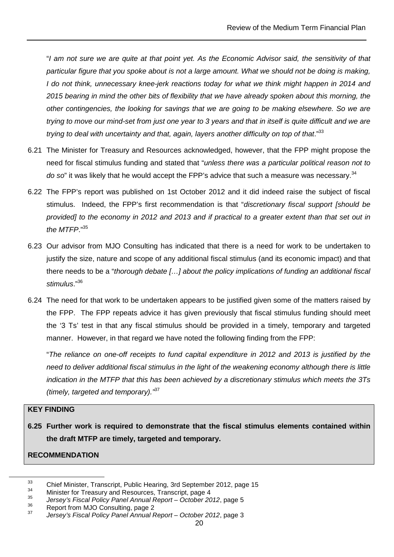"I am not sure we are quite at that point yet. As the Economic Advisor said, the sensitivity of that particular figure that you spoke about is not a large amount. What we should not be doing is making, I do not think, unnecessary knee-jerk reactions today for what we think might happen in 2014 and 2015 bearing in mind the other bits of flexibility that we have already spoken about this morning, the other contingencies, the looking for savings that we are going to be making elsewhere. So we are trying to move our mind-set from just one year to 3 years and that in itself is quite difficult and we are trying to deal with uncertainty and that, again, layers another difficulty on top of that."33

- 6.21 The Minister for Treasury and Resources acknowledged, however, that the FPP might propose the need for fiscal stimulus funding and stated that "unless there was a particular political reason not to do so" it was likely that he would accept the FPP's advice that such a measure was necessary. $34$
- 6.22 The FPP's report was published on 1st October 2012 and it did indeed raise the subject of fiscal stimulus. Indeed, the FPP's first recommendation is that "discretionary fiscal support [should be provided] to the economy in 2012 and 2013 and if practical to a greater extent than that set out in the MTFP."35
- 6.23 Our advisor from MJO Consulting has indicated that there is a need for work to be undertaken to justify the size, nature and scope of any additional fiscal stimulus (and its economic impact) and that there needs to be a "thorough debate […] about the policy implications of funding an additional fiscal stimulus."<sup>36</sup>
- 6.24 The need for that work to be undertaken appears to be justified given some of the matters raised by the FPP. The FPP repeats advice it has given previously that fiscal stimulus funding should meet the '3 Ts' test in that any fiscal stimulus should be provided in a timely, temporary and targeted manner. However, in that regard we have noted the following finding from the FPP:

"The reliance on one-off receipts to fund capital expenditure in 2012 and 2013 is justified by the need to deliver additional fiscal stimulus in the light of the weakening economy although there is little indication in the MTFP that this has been achieved by a discretionary stimulus which meets the 3Ts (timely, targeted and temporary).<sup>37</sup>

#### **KEY FINDING**

 $\overline{a}$ 

**6.25 Further work is required to demonstrate that the fiscal stimulus elements contained within the draft MTFP are timely, targeted and temporary.** 

#### **RECOMMENDATION**

<sup>&</sup>lt;sup>33</sup> Chief Minister, Transcript, Public Hearing, 3rd September 2012, page 15

<sup>34</sup> Minister for Treasury and Resources, Transcript, page 4

<sup>35</sup>  $\frac{35}{36}$  Jersey's Fiscal Policy Panel Annual Report – October 2012, page 5

Report from MJO Consulting, page 2

<sup>37</sup> Jersey's Fiscal Policy Panel Annual Report – October 2012, page 3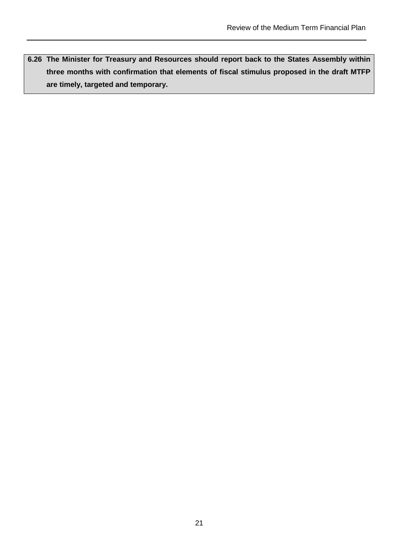**6.26 The Minister for Treasury and Resources should report back to the States Assembly within three months with confirmation that elements of fiscal stimulus proposed in the draft MTFP are timely, targeted and temporary.**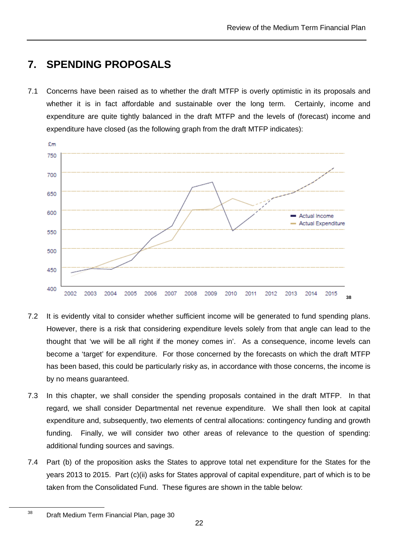## **7. SPENDING PROPOSALS**

7.1 Concerns have been raised as to whether the draft MTFP is overly optimistic in its proposals and whether it is in fact affordable and sustainable over the long term. Certainly, income and expenditure are quite tightly balanced in the draft MTFP and the levels of (forecast) income and expenditure have closed (as the following graph from the draft MTFP indicates):

![](_page_23_Figure_3.jpeg)

- 7.2 It is evidently vital to consider whether sufficient income will be generated to fund spending plans. However, there is a risk that considering expenditure levels solely from that angle can lead to the thought that 'we will be all right if the money comes in'. As a consequence, income levels can become a 'target' for expenditure. For those concerned by the forecasts on which the draft MTFP has been based, this could be particularly risky as, in accordance with those concerns, the income is by no means guaranteed.
- 7.3 In this chapter, we shall consider the spending proposals contained in the draft MTFP. In that regard, we shall consider Departmental net revenue expenditure. We shall then look at capital expenditure and, subsequently, two elements of central allocations: contingency funding and growth funding. Finally, we will consider two other areas of relevance to the question of spending: additional funding sources and savings.
- 7.4 Part (b) of the proposition asks the States to approve total net expenditure for the States for the years 2013 to 2015. Part (c)(ii) asks for States approval of capital expenditure, part of which is to be taken from the Consolidated Fund. These figures are shown in the table below:

<sup>&</sup>lt;sup>38</sup> Draft Medium Term Financial Plan, page 30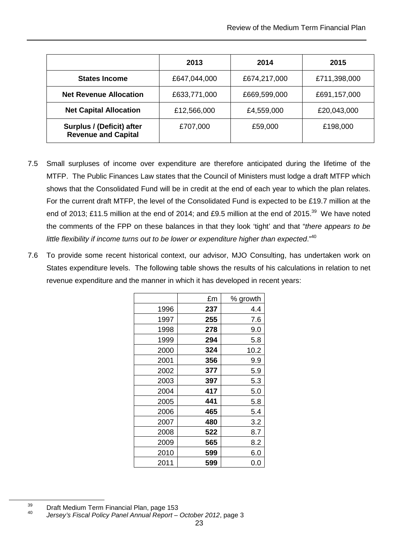|                                                         | 2013         | 2014         | 2015         |
|---------------------------------------------------------|--------------|--------------|--------------|
| <b>States Income</b>                                    | £647,044,000 | £674,217,000 | £711,398,000 |
| <b>Net Revenue Allocation</b>                           | £633,771,000 | £669,599,000 | £691,157,000 |
| <b>Net Capital Allocation</b>                           | £12,566,000  | £4,559,000   | £20,043,000  |
| Surplus / (Deficit) after<br><b>Revenue and Capital</b> | £707,000     | £59,000      | £198,000     |

- 7.5 Small surpluses of income over expenditure are therefore anticipated during the lifetime of the MTFP. The Public Finances Law states that the Council of Ministers must lodge a draft MTFP which shows that the Consolidated Fund will be in credit at the end of each year to which the plan relates. For the current draft MTFP, the level of the Consolidated Fund is expected to be £19.7 million at the end of 2013; £11.5 million at the end of 2014; and £9.5 million at the end of 2015.<sup>39</sup> We have noted the comments of the FPP on these balances in that they look 'tight' and that "there appears to be little flexibility if income turns out to be lower or expenditure higher than expected." $40$
- 7.6 To provide some recent historical context, our advisor, MJO Consulting, has undertaken work on States expenditure levels. The following table shows the results of his calculations in relation to net revenue expenditure and the manner in which it has developed in recent years:

|      | £m  | % growth |
|------|-----|----------|
| 1996 | 237 | 4.4      |
| 1997 | 255 | 7.6      |
| 1998 | 278 | 9.0      |
| 1999 | 294 | 5.8      |
| 2000 | 324 | 10.2     |
| 2001 | 356 | 9.9      |
| 2002 | 377 | 5.9      |
| 2003 | 397 | 5.3      |
| 2004 | 417 | 5.0      |
| 2005 | 441 | 5.8      |
| 2006 | 465 | 5.4      |
| 2007 | 480 | 3.2      |
| 2008 | 522 | 8.7      |
| 2009 | 565 | 8.2      |
| 2010 | 599 | 6.0      |
| 2011 | 599 | 0.0      |

<sup>&</sup>lt;sup>39</sup> Draft Medium Term Financial Plan, page 153

<sup>40</sup> Jersey's Fiscal Policy Panel Annual Report – October 2012, page 3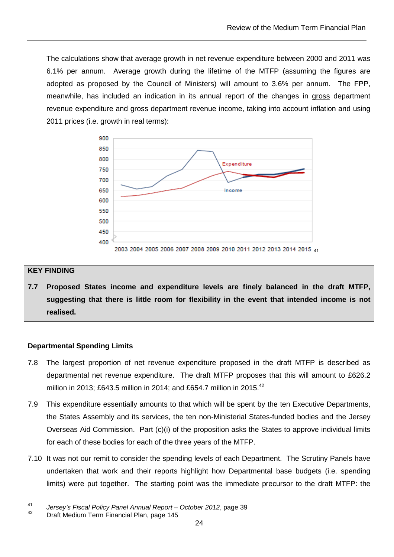The calculations show that average growth in net revenue expenditure between 2000 and 2011 was 6.1% per annum. Average growth during the lifetime of the MTFP (assuming the figures are adopted as proposed by the Council of Ministers) will amount to 3.6% per annum. The FPP, meanwhile, has included an indication in its annual report of the changes in gross department revenue expenditure and gross department revenue income, taking into account inflation and using 2011 prices (i.e. growth in real terms):

![](_page_25_Figure_2.jpeg)

#### **KEY FINDING**

 $\overline{a}$ 

**7.7 Proposed States income and expenditure levels are finely balanced in the draft MTFP, suggesting that there is little room for flexibility in the event that intended income is not realised.** 

#### **Departmental Spending Limits**

- 7.8 The largest proportion of net revenue expenditure proposed in the draft MTFP is described as departmental net revenue expenditure. The draft MTFP proposes that this will amount to £626.2 million in 2013; £643.5 million in 2014; and £654.7 million in 2015.<sup>42</sup>
- 7.9 This expenditure essentially amounts to that which will be spent by the ten Executive Departments, the States Assembly and its services, the ten non-Ministerial States-funded bodies and the Jersey Overseas Aid Commission. Part (c)(i) of the proposition asks the States to approve individual limits for each of these bodies for each of the three years of the MTFP.
- 7.10 It was not our remit to consider the spending levels of each Department. The Scrutiny Panels have undertaken that work and their reports highlight how Departmental base budgets (i.e. spending limits) were put together. The starting point was the immediate precursor to the draft MTFP: the

<sup>41</sup> <sup>41</sup> Jersey's Fiscal Policy Panel Annual Report – October 2012, page 39

<sup>42</sup> Draft Medium Term Financial Plan, page 145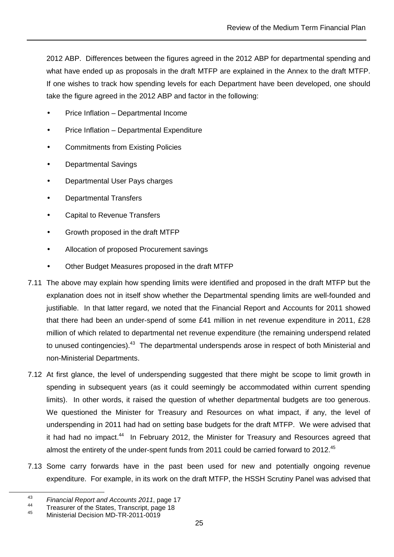2012 ABP. Differences between the figures agreed in the 2012 ABP for departmental spending and what have ended up as proposals in the draft MTFP are explained in the Annex to the draft MTFP. If one wishes to track how spending levels for each Department have been developed, one should take the figure agreed in the 2012 ABP and factor in the following:

- Price Inflation Departmental Income
- Price Inflation Departmental Expenditure
- Commitments from Existing Policies
- Departmental Savings
- Departmental User Pays charges
- Departmental Transfers
- Capital to Revenue Transfers
- Growth proposed in the draft MTFP
- Allocation of proposed Procurement savings
- Other Budget Measures proposed in the draft MTFP
- 7.11 The above may explain how spending limits were identified and proposed in the draft MTFP but the explanation does not in itself show whether the Departmental spending limits are well-founded and justifiable. In that latter regard, we noted that the Financial Report and Accounts for 2011 showed that there had been an under-spend of some £41 million in net revenue expenditure in 2011, £28 million of which related to departmental net revenue expenditure (the remaining underspend related to unused contingencies).<sup>43</sup> The departmental underspends arose in respect of both Ministerial and non-Ministerial Departments.
- 7.12 At first glance, the level of underspending suggested that there might be scope to limit growth in spending in subsequent years (as it could seemingly be accommodated within current spending limits). In other words, it raised the question of whether departmental budgets are too generous. We questioned the Minister for Treasury and Resources on what impact, if any, the level of underspending in 2011 had had on setting base budgets for the draft MTFP. We were advised that it had had no impact.<sup>44</sup> In February 2012, the Minister for Treasury and Resources agreed that almost the entirety of the under-spent funds from 2011 could be carried forward to 2012.<sup>45</sup>
- 7.13 Some carry forwards have in the past been used for new and potentially ongoing revenue expenditure. For example, in its work on the draft MTFP, the HSSH Scrutiny Panel was advised that

<sup>43</sup>  $^{43}$  Financial Report and Accounts 2011, page 17

<sup>&</sup>lt;sup>44</sup> Treasurer of the States, Transcript, page 18

<sup>45</sup> Ministerial Decision MD-TR-2011-0019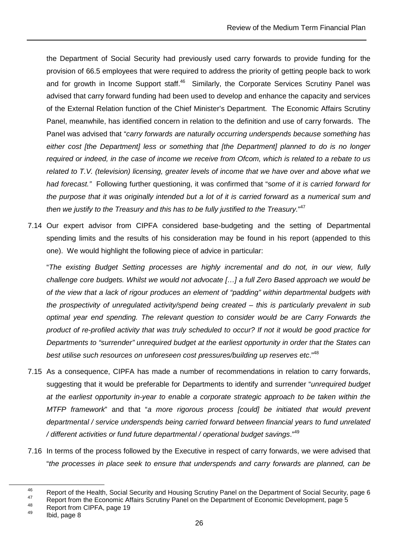the Department of Social Security had previously used carry forwards to provide funding for the provision of 66.5 employees that were required to address the priority of getting people back to work and for growth in Income Support staff.<sup>46</sup> Similarly, the Corporate Services Scrutiny Panel was advised that carry forward funding had been used to develop and enhance the capacity and services of the External Relation function of the Chief Minister's Department. The Economic Affairs Scrutiny Panel, meanwhile, has identified concern in relation to the definition and use of carry forwards. The Panel was advised that "carry forwards are naturally occurring underspends because something has either cost [the Department] less or something that [the Department] planned to do is no longer required or indeed, in the case of income we receive from Ofcom, which is related to a rebate to us related to T.V. (television) licensing, greater levels of income that we have over and above what we had forecast." Following further questioning, it was confirmed that "some of it is carried forward for the purpose that it was originally intended but a lot of it is carried forward as a numerical sum and then we justify to the Treasury and this has to be fully justified to the Treasury."<sup>47</sup>

7.14 Our expert advisor from CIPFA considered base-budgeting and the setting of Departmental spending limits and the results of his consideration may be found in his report (appended to this one). We would highlight the following piece of advice in particular:

"The existing Budget Setting processes are highly incremental and do not, in our view, fully challenge core budgets. Whilst we would not advocate […] a full Zero Based approach we would be of the view that a lack of rigour produces an element of "padding" within departmental budgets with the prospectivity of unregulated activity/spend being created – this is particularly prevalent in sub optimal year end spending. The relevant question to consider would be are Carry Forwards the product of re-profiled activity that was truly scheduled to occur? If not it would be good practice for Departments to "surrender" unrequired budget at the earliest opportunity in order that the States can best utilise such resources on unforeseen cost pressures/building up reserves etc."<sup>48</sup>

- 7.15 As a consequence, CIPFA has made a number of recommendations in relation to carry forwards, suggesting that it would be preferable for Departments to identify and surrender "*unrequired budget* at the earliest opportunity in-year to enable a corporate strategic approach to be taken within the MTFP framework" and that "a more rigorous process [could] be initiated that would prevent departmental / service underspends being carried forward between financial years to fund unrelated / different activities or fund future departmental / operational budget savings."<sup>49</sup>
- 7.16 In terms of the process followed by the Executive in respect of carry forwards, we were advised that "the processes in place seek to ensure that underspends and carry forwards are planned, can be

<sup>46</sup> Report of the Health, Social Security and Housing Scrutiny Panel on the Department of Social Security, page 6

<sup>&</sup>lt;sup>47</sup> Report from the Economic Affairs Scrutiny Panel on the Department of Economic Development, page 5<br><sup>48</sup> Penert from CIPEA, page 49

 $^{48}$  Report from CIPFA, page 19

Ibid, page 8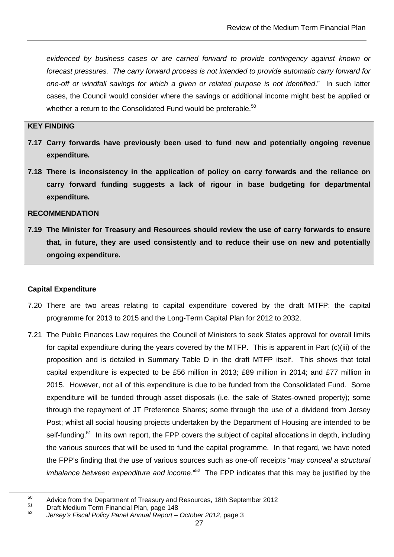evidenced by business cases or are carried forward to provide contingency against known or forecast pressures. The carry forward process is not intended to provide automatic carry forward for one-off or windfall savings for which a given or related purpose is not identified." In such latter cases, the Council would consider where the savings or additional income might best be applied or whether a return to the Consolidated Fund would be preferable.<sup>50</sup>

#### **KEY FINDING**

- **7.17 Carry forwards have previously been used to fund new and potentially ongoing revenue expenditure.**
- **7.18 There is inconsistency in the application of policy on carry forwards and the reliance on carry forward funding suggests a lack of rigour in base budgeting for departmental expenditure.**

#### **RECOMMENDATION**

**7.19 The Minister for Treasury and Resources should review the use of carry forwards to ensure that, in future, they are used consistently and to reduce their use on new and potentially ongoing expenditure.** 

#### **Capital Expenditure**

- 7.20 There are two areas relating to capital expenditure covered by the draft MTFP: the capital programme for 2013 to 2015 and the Long-Term Capital Plan for 2012 to 2032.
- 7.21 The Public Finances Law requires the Council of Ministers to seek States approval for overall limits for capital expenditure during the years covered by the MTFP. This is apparent in Part (c)(iii) of the proposition and is detailed in Summary Table D in the draft MTFP itself. This shows that total capital expenditure is expected to be £56 million in 2013; £89 million in 2014; and £77 million in 2015. However, not all of this expenditure is due to be funded from the Consolidated Fund. Some expenditure will be funded through asset disposals (i.e. the sale of States-owned property); some through the repayment of JT Preference Shares; some through the use of a dividend from Jersey Post; whilst all social housing projects undertaken by the Department of Housing are intended to be self-funding.<sup>51</sup> In its own report, the FPP covers the subject of capital allocations in depth, including the various sources that will be used to fund the capital programme. In that regard, we have noted the FPP's finding that the use of various sources such as one-off receipts "may conceal a structural *imbalance between expenditure and income.*<sup> $n52$ </sup> The FPP indicates that this may be justified by the

<sup>&</sup>lt;sup>50</sup> Advice from the Department of Treasury and Resources, 18th September 2012

<sup>51</sup> Draft Medium Term Financial Plan, page 148

<sup>52</sup> Jersey's Fiscal Policy Panel Annual Report – October 2012, page 3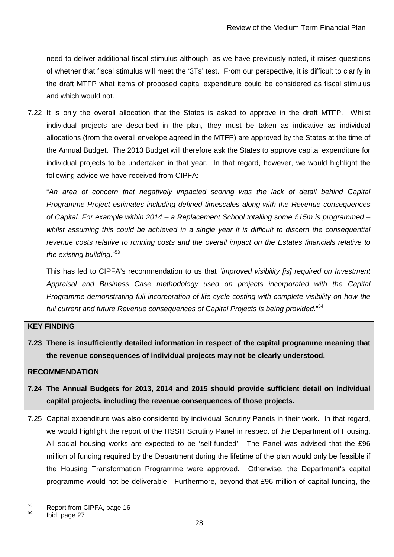need to deliver additional fiscal stimulus although, as we have previously noted, it raises questions of whether that fiscal stimulus will meet the '3Ts' test. From our perspective, it is difficult to clarify in the draft MTFP what items of proposed capital expenditure could be considered as fiscal stimulus and which would not.

7.22 It is only the overall allocation that the States is asked to approve in the draft MTFP. Whilst individual projects are described in the plan, they must be taken as indicative as individual allocations (from the overall envelope agreed in the MTFP) are approved by the States at the time of the Annual Budget. The 2013 Budget will therefore ask the States to approve capital expenditure for individual projects to be undertaken in that year. In that regard, however, we would highlight the following advice we have received from CIPFA:

"An area of concern that negatively impacted scoring was the lack of detail behind Capital Programme Project estimates including defined timescales along with the Revenue consequences of Capital. For example within 2014 – a Replacement School totalling some £15m is programmed – whilst assuming this could be achieved in a single year it is difficult to discern the consequential revenue costs relative to running costs and the overall impact on the Estates financials relative to the existing building."<sup>53</sup>

This has led to CIPFA's recommendation to us that "improved visibility [is] required on Investment Appraisal and Business Case methodology used on projects incorporated with the Capital Programme demonstrating full incorporation of life cycle costing with complete visibility on how the full current and future Revenue consequences of Capital Projects is being provided."<sup>54</sup>

#### **KEY FINDING**

**7.23 There is insufficiently detailed information in respect of the capital programme meaning that the revenue consequences of individual projects may not be clearly understood.** 

#### **RECOMMENDATION**

- **7.24 The Annual Budgets for 2013, 2014 and 2015 should provide sufficient detail on individual capital projects, including the revenue consequences of those projects.**
- 7.25 Capital expenditure was also considered by individual Scrutiny Panels in their work. In that regard, we would highlight the report of the HSSH Scrutiny Panel in respect of the Department of Housing. All social housing works are expected to be 'self-funded'. The Panel was advised that the £96 million of funding required by the Department during the lifetime of the plan would only be feasible if the Housing Transformation Programme were approved. Otherwise, the Department's capital programme would not be deliverable. Furthermore, beyond that £96 million of capital funding, the

 $^{53}$  Report from CIPFA, page 16

Ibid, page 27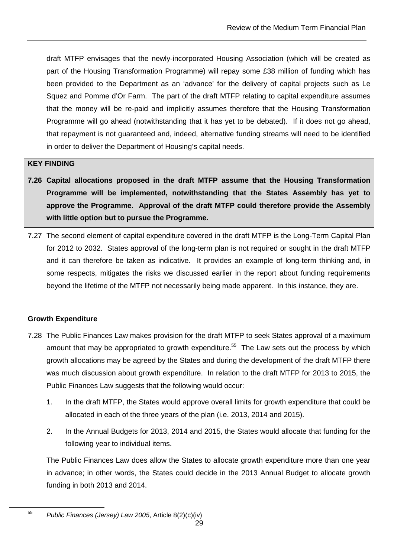draft MTFP envisages that the newly-incorporated Housing Association (which will be created as part of the Housing Transformation Programme) will repay some £38 million of funding which has been provided to the Department as an 'advance' for the delivery of capital projects such as Le Squez and Pomme d'Or Farm. The part of the draft MTFP relating to capital expenditure assumes that the money will be re-paid and implicitly assumes therefore that the Housing Transformation Programme will go ahead (notwithstanding that it has yet to be debated). If it does not go ahead, that repayment is not guaranteed and, indeed, alternative funding streams will need to be identified in order to deliver the Department of Housing's capital needs.

#### **KEY FINDING**

- **7.26 Capital allocations proposed in the draft MTFP assume that the Housing Transformation Programme will be implemented, notwithstanding that the States Assembly has yet to approve the Programme. Approval of the draft MTFP could therefore provide the Assembly with little option but to pursue the Programme.**
- 7.27 The second element of capital expenditure covered in the draft MTFP is the Long-Term Capital Plan for 2012 to 2032. States approval of the long-term plan is not required or sought in the draft MTFP and it can therefore be taken as indicative. It provides an example of long-term thinking and, in some respects, mitigates the risks we discussed earlier in the report about funding requirements beyond the lifetime of the MTFP not necessarily being made apparent. In this instance, they are.

#### **Growth Expenditure**

 $\overline{a}$ 

- 7.28 The Public Finances Law makes provision for the draft MTFP to seek States approval of a maximum amount that may be appropriated to growth expenditure.<sup>55</sup> The Law sets out the process by which growth allocations may be agreed by the States and during the development of the draft MTFP there was much discussion about growth expenditure. In relation to the draft MTFP for 2013 to 2015, the Public Finances Law suggests that the following would occur:
	- 1. In the draft MTFP, the States would approve overall limits for growth expenditure that could be allocated in each of the three years of the plan (i.e. 2013, 2014 and 2015).
	- 2. In the Annual Budgets for 2013, 2014 and 2015, the States would allocate that funding for the following year to individual items.

The Public Finances Law does allow the States to allocate growth expenditure more than one year in advance; in other words, the States could decide in the 2013 Annual Budget to allocate growth funding in both 2013 and 2014.

<sup>55</sup> Public Finances (Jersey) Law 2005, Article 8(2)(c)(iv)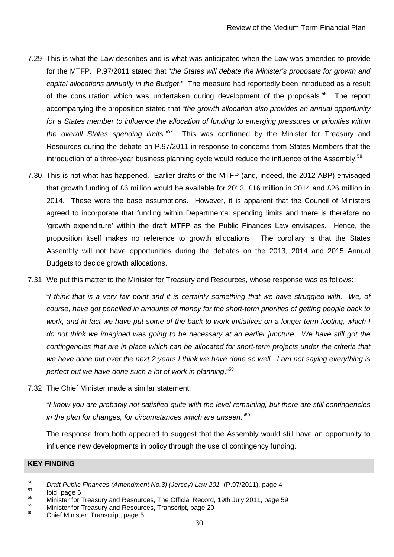- 7.29 This is what the Law describes and is what was anticipated when the Law was amended to provide for the MTFP. P.97/2011 stated that "the States will debate the Minister's proposals for growth and capital allocations annually in the Budget." The measure had reportedly been introduced as a result of the consultation which was undertaken during development of the proposals.<sup>56</sup> The report accompanying the proposition stated that "the growth allocation also provides an annual opportunity for a States member to influence the allocation of funding to emerging pressures or priorities within the overall States spending limits.<sup> $57$ </sup> This was confirmed by the Minister for Treasury and Resources during the debate on P.97/2011 in response to concerns from States Members that the introduction of a three-year business planning cycle would reduce the influence of the Assembly.<sup>58</sup>
- 7.30 This is not what has happened. Earlier drafts of the MTFP (and, indeed, the 2012 ABP) envisaged that growth funding of £6 million would be available for 2013, £16 million in 2014 and £26 million in 2014. These were the base assumptions. However, it is apparent that the Council of Ministers agreed to incorporate that funding within Departmental spending limits and there is therefore no 'growth expenditure' within the draft MTFP as the Public Finances Law envisages. Hence, the proposition itself makes no reference to growth allocations. The corollary is that the States Assembly will not have opportunities during the debates on the 2013, 2014 and 2015 Annual Budgets to decide growth allocations.
- 7.31 We put this matter to the Minister for Treasury and Resources, whose response was as follows:

"I think that is a very fair point and it is certainly something that we have struggled with. We, of course, have got pencilled in amounts of money for the short-term priorities of getting people back to work, and in fact we have put some of the back to work initiatives on a longer-term footing, which I do not think we imagined was going to be necessary at an earlier juncture. We have still got the contingencies that are in place which can be allocated for short-term projects under the criteria that we have done but over the next 2 years I think we have done so well. I am not saying everything is perfect but we have done such a lot of work in planning."<sup>59</sup>

7.32 The Chief Minister made a similar statement:

"I know you are probably not satisfied quite with the level remaining, but there are still contingencies in the plan for changes, for circumstances which are unseen. $^{160}$ 

The response from both appeared to suggest that the Assembly would still have an opportunity to influence new developments in policy through the use of contingency funding.

#### **KEY FINDING**

<sup>56</sup>  $\frac{56}{57}$  Draft Public Finances (Amendment No.3) (Jersey) Law 201- (P.97/2011), page 4

 $\frac{57}{58}$  Ibid, page 6

<sup>&</sup>lt;sup>58</sup> Minister for Treasury and Resources, The Official Record, 19th July 2011, page 59

 $^{59}$  Minister for Treasury and Resources, Transcript, page 20

Chief Minister, Transcript, page 5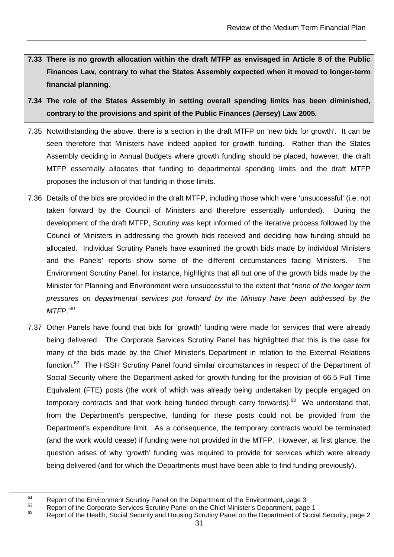- **7.33 There is no growth allocation within the draft MTFP as envisaged in Article 8 of the Public Finances Law, contrary to what the States Assembly expected when it moved to longer-term financial planning.**
- **7.34 The role of the States Assembly in setting overall spending limits has been diminished, contrary to the provisions and spirit of the Public Finances (Jersey) Law 2005.**
- 7.35 Notwithstanding the above, there is a section in the draft MTFP on 'new bids for growth'. It can be seen therefore that Ministers have indeed applied for growth funding. Rather than the States Assembly deciding in Annual Budgets where growth funding should be placed, however, the draft MTFP essentially allocates that funding to departmental spending limits and the draft MTFP proposes the inclusion of that funding in those limits.
- 7.36 Details of the bids are provided in the draft MTFP, including those which were 'unsuccessful' (i.e. not taken forward by the Council of Ministers and therefore essentially unfunded). During the development of the draft MTFP, Scrutiny was kept informed of the iterative process followed by the Council of Ministers in addressing the growth bids received and deciding how funding should be allocated. Individual Scrutiny Panels have examined the growth bids made by individual Ministers and the Panels' reports show some of the different circumstances facing Ministers. The Environment Scrutiny Panel, for instance, highlights that all but one of the growth bids made by the Minister for Planning and Environment were unsuccessful to the extent that "none of the longer term pressures on departmental services put forward by the Ministry have been addressed by the  $MTFP$ ."61
- 7.37 Other Panels have found that bids for 'growth' funding were made for services that were already being delivered. The Corporate Services Scrutiny Panel has highlighted that this is the case for many of the bids made by the Chief Minister's Department in relation to the External Relations function.<sup>62</sup> The HSSH Scrutiny Panel found similar circumstances in respect of the Department of Social Security where the Department asked for growth funding for the provision of 66.5 Full Time Equivalent (FTE) posts (the work of which was already being undertaken by people engaged on temporary contracts and that work being funded through carry forwards). $63$  We understand that, from the Department's perspective, funding for these posts could not be provided from the Department's expenditure limit. As a consequence, the temporary contracts would be terminated (and the work would cease) if funding were not provided in the MTFP. However, at first glance, the question arises of why 'growth' funding was required to provide for services which were already being delivered (and for which the Departments must have been able to find funding previously).

<sup>&</sup>lt;sup>61</sup> Report of the Environment Scrutiny Panel on the Department of the Environment, page 3

 $\frac{62}{2}$  Report of the Corporate Services Scrutiny Panel on the Chief Minister's Department, page 1

Report of the Health, Social Security and Housing Scrutiny Panel on the Department of Social Security, page 2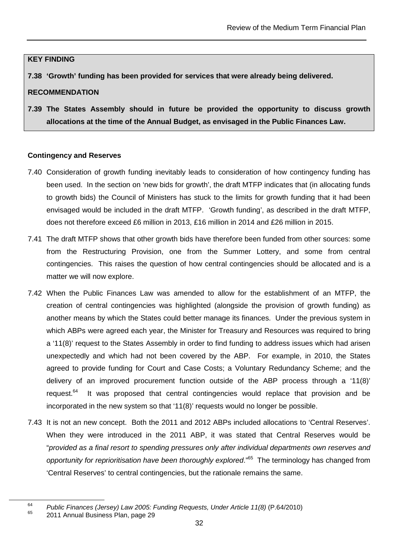#### **KEY FINDING**

**7.38 'Growth' funding has been provided for services that were already being delivered.** 

#### **RECOMMENDATION**

**7.39 The States Assembly should in future be provided the opportunity to discuss growth allocations at the time of the Annual Budget, as envisaged in the Public Finances Law.** 

#### **Contingency and Reserves**

- 7.40 Consideration of growth funding inevitably leads to consideration of how contingency funding has been used. In the section on 'new bids for growth', the draft MTFP indicates that (in allocating funds to growth bids) the Council of Ministers has stuck to the limits for growth funding that it had been envisaged would be included in the draft MTFP. 'Growth funding', as described in the draft MTFP, does not therefore exceed £6 million in 2013, £16 million in 2014 and £26 million in 2015.
- 7.41 The draft MTFP shows that other growth bids have therefore been funded from other sources: some from the Restructuring Provision, one from the Summer Lottery, and some from central contingencies. This raises the question of how central contingencies should be allocated and is a matter we will now explore.
- 7.42 When the Public Finances Law was amended to allow for the establishment of an MTFP, the creation of central contingencies was highlighted (alongside the provision of growth funding) as another means by which the States could better manage its finances. Under the previous system in which ABPs were agreed each year, the Minister for Treasury and Resources was required to bring a '11(8)' request to the States Assembly in order to find funding to address issues which had arisen unexpectedly and which had not been covered by the ABP. For example, in 2010, the States agreed to provide funding for Court and Case Costs; a Voluntary Redundancy Scheme; and the delivery of an improved procurement function outside of the ABP process through a '11(8)' request.<sup>64</sup> It was proposed that central contingencies would replace that provision and be incorporated in the new system so that '11(8)' requests would no longer be possible.
- 7.43 It is not an new concept. Both the 2011 and 2012 ABPs included allocations to 'Central Reserves'. When they were introduced in the 2011 ABP, it was stated that Central Reserves would be "provided as a final resort to spending pressures only after individual departments own reserves and opportunity for reprioritisation have been thoroughly explored."<sup>65</sup> The terminology has changed from 'Central Reserves' to central contingencies, but the rationale remains the same.

<sup>64</sup> <sup>64</sup> Public Finances (Jersey) Law 2005: Funding Requests, Under Article 11(8) (P.64/2010)

<sup>65</sup> 2011 Annual Business Plan, page 29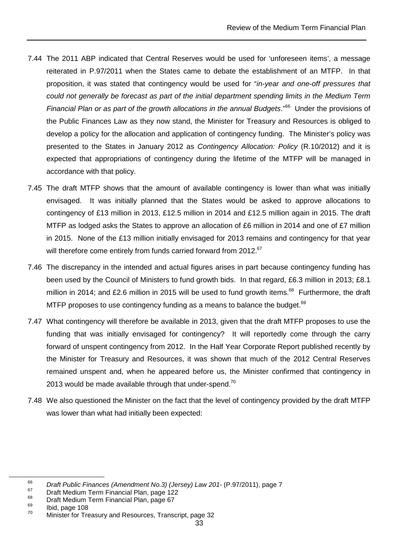- 7.44 The 2011 ABP indicated that Central Reserves would be used for 'unforeseen items', a message reiterated in P.97/2011 when the States came to debate the establishment of an MTFP. In that proposition, it was stated that contingency would be used for "in-year and one-off pressures that could not generally be forecast as part of the initial department spending limits in the Medium Term Financial Plan or as part of the growth allocations in the annual Budgets."<sup>66</sup> Under the provisions of the Public Finances Law as they now stand, the Minister for Treasury and Resources is obliged to develop a policy for the allocation and application of contingency funding. The Minister's policy was presented to the States in January 2012 as Contingency Allocation: Policy (R.10/2012) and it is expected that appropriations of contingency during the lifetime of the MTFP will be managed in accordance with that policy.
- 7.45 The draft MTFP shows that the amount of available contingency is lower than what was initially envisaged. It was initially planned that the States would be asked to approve allocations to contingency of £13 million in 2013, £12.5 million in 2014 and £12.5 million again in 2015. The draft MTFP as lodged asks the States to approve an allocation of £6 million in 2014 and one of £7 million in 2015. None of the £13 million initially envisaged for 2013 remains and contingency for that year will therefore come entirely from funds carried forward from 2012.<sup>67</sup>
- 7.46 The discrepancy in the intended and actual figures arises in part because contingency funding has been used by the Council of Ministers to fund growth bids. In that regard, £6.3 million in 2013; £8.1 million in 2014; and £2.6 million in 2015 will be used to fund growth items.<sup>68</sup> Furthermore, the draft MTFP proposes to use contingency funding as a means to balance the budget.<sup>69</sup>
- 7.47 What contingency will therefore be available in 2013, given that the draft MTFP proposes to use the funding that was initially envisaged for contingency? It will reportedly come through the carry forward of unspent contingency from 2012. In the Half Year Corporate Report published recently by the Minister for Treasury and Resources, it was shown that much of the 2012 Central Reserves remained unspent and, when he appeared before us, the Minister confirmed that contingency in 2013 would be made available through that under-spend.<sup>70</sup>
- 7.48 We also questioned the Minister on the fact that the level of contingency provided by the draft MTFP was lower than what had initially been expected:

<sup>66</sup>  $^{66}$  Draft Public Finances (Amendment No.3) (Jersey) Law 201- (P.97/2011), page 7

 $^{67}$  Draft Medium Term Financial Plan, page 122

 $^{68}$  Draft Medium Term Financial Plan, page 67

 $\frac{69}{70}$  Ibid, page 108

Minister for Treasury and Resources, Transcript, page 32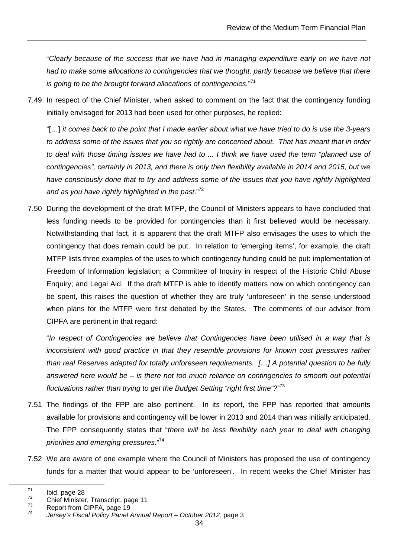"Clearly because of the success that we have had in managing expenditure early on we have not had to make some allocations to contingencies that we thought, partly because we believe that there is going to be the brought forward allocations of contingencies." $71$ 

7.49 In respect of the Chief Minister, when asked to comment on the fact that the contingency funding initially envisaged for 2013 had been used for other purposes, he replied:

"[…] it comes back to the point that I made earlier about what we have tried to do is use the 3-years to address some of the issues that you so rightly are concerned about. That has meant that in order to deal with those timing issues we have had to ... I think we have used the term "planned use of contingencies", certainly in 2013, and there is only then flexibility available in 2014 and 2015, but we have consciously done that to try and address some of the issues that you have rightly highlighted and as you have rightly highlighted in the past. $172$ 

7.50 During the development of the draft MTFP, the Council of Ministers appears to have concluded that less funding needs to be provided for contingencies than it first believed would be necessary. Notwithstanding that fact, it is apparent that the draft MTFP also envisages the uses to which the contingency that does remain could be put. In relation to 'emerging items', for example, the draft MTFP lists three examples of the uses to which contingency funding could be put: implementation of Freedom of Information legislation; a Committee of Inquiry in respect of the Historic Child Abuse Enquiry; and Legal Aid. If the draft MTFP is able to identify matters now on which contingency can be spent, this raises the question of whether they are truly 'unforeseen' in the sense understood when plans for the MTFP were first debated by the States. The comments of our advisor from CIPFA are pertinent in that regard:

"In respect of Contingencies we believe that Contingencies have been utilised in a way that is inconsistent with good practice in that they resemble provisions for known cost pressures rather than real Reserves adapted for totally unforeseen requirements. […] A potential question to be fully answered here would be – is there not too much reliance on contingencies to smooth out potential fluctuations rather than trying to get the Budget Setting "right first time"?"<sup>73</sup>

- 7.51 The findings of the FPP are also pertinent. In its report, the FPP has reported that amounts available for provisions and contingency will be lower in 2013 and 2014 than was initially anticipated. The FPP consequently states that "there will be less flexibility each year to deal with changing priorities and emerging pressures."<sup>74</sup>
- 7.52 We are aware of one example where the Council of Ministers has proposed the use of contingency funds for a matter that would appear to be 'unforeseen'. In recent weeks the Chief Minister has

 $\frac{71}{72}$  Ibid, page 28

 $^{72}$  Chief Minister, Transcript, page 11

Report from CIPFA, page 19

<sup>74</sup> Jersey's Fiscal Policy Panel Annual Report – October 2012, page 3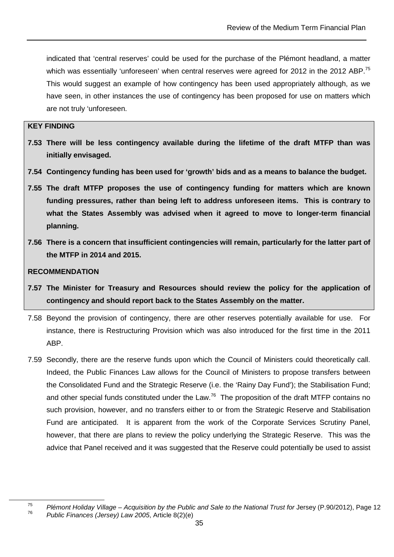indicated that 'central reserves' could be used for the purchase of the Plémont headland, a matter which was essentially 'unforeseen' when central reserves were agreed for 2012 in the 2012 ABP.<sup>75</sup> This would suggest an example of how contingency has been used appropriately although, as we have seen, in other instances the use of contingency has been proposed for use on matters which are not truly 'unforeseen.

#### **KEY FINDING**

- **7.53 There will be less contingency available during the lifetime of the draft MTFP than was initially envisaged.**
- **7.54 Contingency funding has been used for 'growth' bids and as a means to balance the budget.**
- **7.55 The draft MTFP proposes the use of contingency funding for matters which are known funding pressures, rather than being left to address unforeseen items. This is contrary to what the States Assembly was advised when it agreed to move to longer-term financial planning.**
- **7.56 There is a concern that insufficient contingencies will remain, particularly for the latter part of the MTFP in 2014 and 2015.**

#### **RECOMMENDATION**

- **7.57 The Minister for Treasury and Resources should review the policy for the application of contingency and should report back to the States Assembly on the matter.**
- 7.58 Beyond the provision of contingency, there are other reserves potentially available for use. For instance, there is Restructuring Provision which was also introduced for the first time in the 2011 ABP.
- 7.59 Secondly, there are the reserve funds upon which the Council of Ministers could theoretically call. Indeed, the Public Finances Law allows for the Council of Ministers to propose transfers between the Consolidated Fund and the Strategic Reserve (i.e. the 'Rainy Day Fund'); the Stabilisation Fund; and other special funds constituted under the Law.<sup>76</sup> The proposition of the draft MTFP contains no such provision, however, and no transfers either to or from the Strategic Reserve and Stabilisation Fund are anticipated. It is apparent from the work of the Corporate Services Scrutiny Panel, however, that there are plans to review the policy underlying the Strategic Reserve. This was the advice that Panel received and it was suggested that the Reserve could potentially be used to assist

<sup>75</sup> Plémont Holiday Village – Acquisition by the Public and Sale to the National Trust for Jersey (P.90/2012), Page 12 76 Public Finances (Jersey) Law 2005, Article 8(2)(e)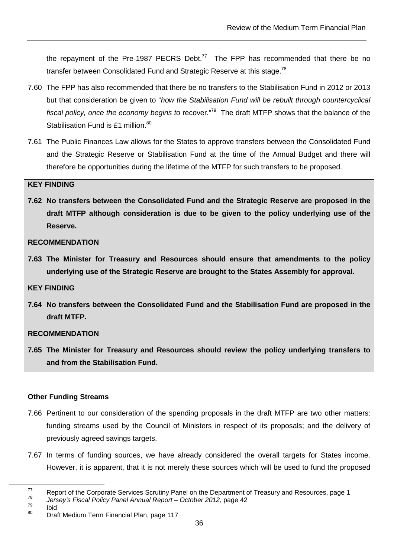the repayment of the Pre-1987 PECRS Debt.<sup>77</sup> The FPP has recommended that there be no transfer between Consolidated Fund and Strategic Reserve at this stage.<sup>78</sup>

- 7.60 The FPP has also recommended that there be no transfers to the Stabilisation Fund in 2012 or 2013 but that consideration be given to "how the Stabilisation Fund will be rebuilt through countercyclical fiscal policy, once the economy begins to recover."<sup>79</sup> The draft MTFP shows that the balance of the Stabilisation Fund is £1 million.<sup>80</sup>
- 7.61 The Public Finances Law allows for the States to approve transfers between the Consolidated Fund and the Strategic Reserve or Stabilisation Fund at the time of the Annual Budget and there will therefore be opportunities during the lifetime of the MTFP for such transfers to be proposed.

#### **KEY FINDING**

**7.62 No transfers between the Consolidated Fund and the Strategic Reserve are proposed in the draft MTFP although consideration is due to be given to the policy underlying use of the Reserve.** 

#### **RECOMMENDATION**

**7.63 The Minister for Treasury and Resources should ensure that amendments to the policy underlying use of the Strategic Reserve are brought to the States Assembly for approval.** 

#### **KEY FINDING**

**7.64 No transfers between the Consolidated Fund and the Stabilisation Fund are proposed in the draft MTFP.** 

#### **RECOMMENDATION**

**7.65 The Minister for Treasury and Resources should review the policy underlying transfers to and from the Stabilisation Fund.** 

#### **Other Funding Streams**

- 7.66 Pertinent to our consideration of the spending proposals in the draft MTFP are two other matters: funding streams used by the Council of Ministers in respect of its proposals; and the delivery of previously agreed savings targets.
- 7.67 In terms of funding sources, we have already considered the overall targets for States income. However, it is apparent, that it is not merely these sources which will be used to fund the proposed

 $77$  Report of the Corporate Services Scrutiny Panel on the Department of Treasury and Resources, page 1

<sup>78</sup>  $\frac{78}{79}$  Jersey's Fiscal Policy Panel Annual Report – October 2012, page 42

 $\frac{79}{80}$  Ibid

**Draft Medium Term Financial Plan, page 117**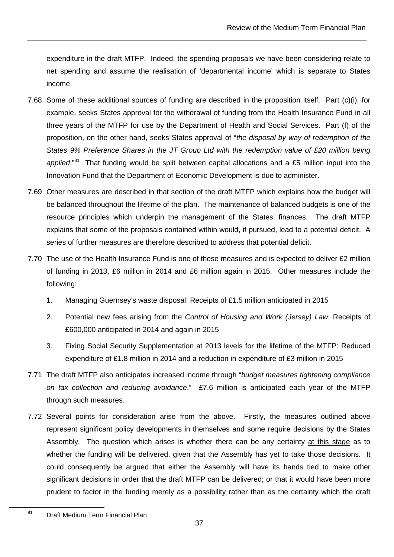expenditure in the draft MTFP. Indeed, the spending proposals we have been considering relate to net spending and assume the realisation of 'departmental income' which is separate to States income.

- 7.68 Some of these additional sources of funding are described in the proposition itself. Part (c)(i), for example, seeks States approval for the withdrawal of funding from the Health Insurance Fund in all three years of the MTFP for use by the Department of Health and Social Services. Part (f) of the proposition, on the other hand, seeks States approval of "the disposal by way of redemption of the States 9% Preference Shares in the JT Group Ltd with the redemption value of £20 million being applied."<sup>81</sup> That funding would be split between capital allocations and a £5 million input into the Innovation Fund that the Department of Economic Development is due to administer.
- 7.69 Other measures are described in that section of the draft MTFP which explains how the budget will be balanced throughout the lifetime of the plan. The maintenance of balanced budgets is one of the resource principles which underpin the management of the States' finances. The draft MTFP explains that some of the proposals contained within would, if pursued, lead to a potential deficit. A series of further measures are therefore described to address that potential deficit.
- 7.70 The use of the Health Insurance Fund is one of these measures and is expected to deliver £2 million of funding in 2013, £6 million in 2014 and £6 million again in 2015. Other measures include the following:
	- 1. Managing Guernsey's waste disposal: Receipts of £1.5 million anticipated in 2015
	- 2. Potential new fees arising from the Control of Housing and Work (Jersey) Law: Receipts of £600,000 anticipated in 2014 and again in 2015
	- 3. Fixing Social Security Supplementation at 2013 levels for the lifetime of the MTFP: Reduced expenditure of £1.8 million in 2014 and a reduction in expenditure of £3 million in 2015
- 7.71 The draft MTFP also anticipates increased income through "budget measures tightening compliance on tax collection and reducing avoidance." £7.6 million is anticipated each year of the MTFP through such measures.
- 7.72 Several points for consideration arise from the above. Firstly, the measures outlined above represent significant policy developments in themselves and some require decisions by the States Assembly. The question which arises is whether there can be any certainty at this stage as to whether the funding will be delivered, given that the Assembly has yet to take those decisions. It could consequently be argued that either the Assembly will have its hands tied to make other significant decisions in order that the draft MTFP can be delivered; or that it would have been more prudent to factor in the funding merely as a possibility rather than as the certainty which the draft

<sup>81</sup> Draft Medium Term Financial Plan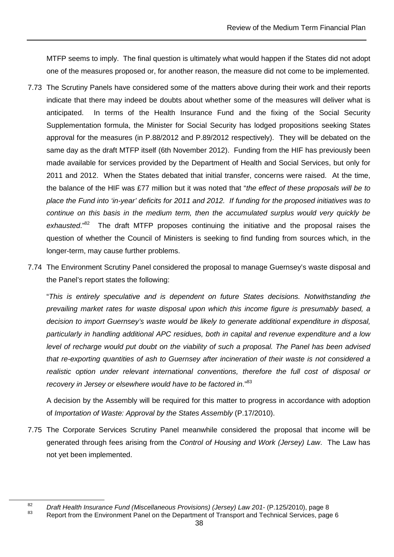MTFP seems to imply. The final question is ultimately what would happen if the States did not adopt one of the measures proposed or, for another reason, the measure did not come to be implemented.

- 7.73 The Scrutiny Panels have considered some of the matters above during their work and their reports indicate that there may indeed be doubts about whether some of the measures will deliver what is anticipated. In terms of the Health Insurance Fund and the fixing of the Social Security Supplementation formula, the Minister for Social Security has lodged propositions seeking States approval for the measures (in P.88/2012 and P.89/2012 respectively). They will be debated on the same day as the draft MTFP itself (6th November 2012). Funding from the HIF has previously been made available for services provided by the Department of Health and Social Services, but only for 2011 and 2012. When the States debated that initial transfer, concerns were raised. At the time, the balance of the HIF was £77 million but it was noted that "the effect of these proposals will be to place the Fund into 'in-year' deficits for 2011 and 2012. If funding for the proposed initiatives was to continue on this basis in the medium term, then the accumulated surplus would very quickly be  $exhausted." <sup>82</sup>$  The draft MTFP proposes continuing the initiative and the proposal raises the question of whether the Council of Ministers is seeking to find funding from sources which, in the longer-term, may cause further problems.
- 7.74 The Environment Scrutiny Panel considered the proposal to manage Guernsey's waste disposal and the Panel's report states the following:

"This is entirely speculative and is dependent on future States decisions. Notwithstanding the prevailing market rates for waste disposal upon which this income figure is presumably based, a decision to import Guernsey's waste would be likely to generate additional expenditure in disposal, particularly in handling additional APC residues, both in capital and revenue expenditure and a low level of recharge would put doubt on the viability of such a proposal. The Panel has been advised that re-exporting quantities of ash to Guernsey after incineration of their waste is not considered a realistic option under relevant international conventions, therefore the full cost of disposal or recovery in Jersey or elsewhere would have to be factored in."83

A decision by the Assembly will be required for this matter to progress in accordance with adoption of Importation of Waste: Approval by the States Assembly (P.17/2010).

7.75 The Corporate Services Scrutiny Panel meanwhile considered the proposal that income will be generated through fees arising from the Control of Housing and Work (Jersey) Law. The Law has not yet been implemented.

<sup>82</sup>  $\frac{82}{2}$  Draft Health Insurance Fund (Miscellaneous Provisions) (Jersey) Law 201- (P.125/2010), page 8<br>Benefit from the Environment Banal on the Department of Transport and Technical Camicse, page

Report from the Environment Panel on the Department of Transport and Technical Services, page 6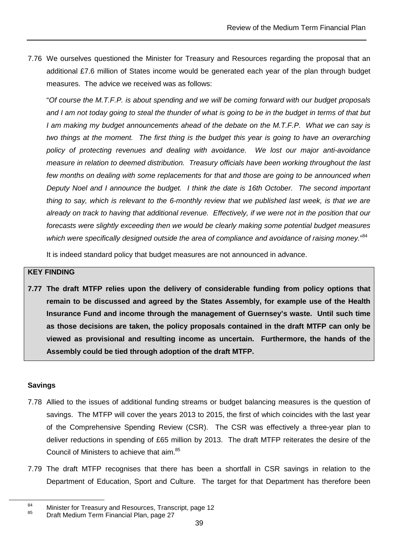7.76 We ourselves questioned the Minister for Treasury and Resources regarding the proposal that an additional £7.6 million of States income would be generated each year of the plan through budget measures. The advice we received was as follows:

"Of course the M.T.F.P. is about spending and we will be coming forward with our budget proposals and I am not today going to steal the thunder of what is going to be in the budget in terms of that but I am making my budget announcements ahead of the debate on the M.T.F.P. What we can say is two things at the moment. The first thing is the budget this year is going to have an overarching policy of protecting revenues and dealing with avoidance. We lost our major anti-avoidance measure in relation to deemed distribution. Treasury officials have been working throughout the last few months on dealing with some replacements for that and those are going to be announced when Deputy Noel and I announce the budget. I think the date is 16th October. The second important thing to say, which is relevant to the 6-monthly review that we published last week, is that we are already on track to having that additional revenue. Effectively, if we were not in the position that our forecasts were slightly exceeding then we would be clearly making some potential budget measures which were specifically designed outside the area of compliance and avoidance of raising money."<sup>84</sup>

It is indeed standard policy that budget measures are not announced in advance.

#### **KEY FINDING**

**7.77 The draft MTFP relies upon the delivery of considerable funding from policy options that remain to be discussed and agreed by the States Assembly, for example use of the Health Insurance Fund and income through the management of Guernsey's waste. Until such time as those decisions are taken, the policy proposals contained in the draft MTFP can only be viewed as provisional and resulting income as uncertain. Furthermore, the hands of the Assembly could be tied through adoption of the draft MTFP.** 

#### **Savings**

- 7.78 Allied to the issues of additional funding streams or budget balancing measures is the question of savings. The MTFP will cover the years 2013 to 2015, the first of which coincides with the last year of the Comprehensive Spending Review (CSR). The CSR was effectively a three-year plan to deliver reductions in spending of £65 million by 2013. The draft MTFP reiterates the desire of the Council of Ministers to achieve that aim.<sup>85</sup>
- 7.79 The draft MTFP recognises that there has been a shortfall in CSR savings in relation to the Department of Education, Sport and Culture. The target for that Department has therefore been

<sup>&</sup>lt;sup>84</sup> Minister for Treasury and Resources, Transcript, page 12

<sup>85</sup> Draft Medium Term Financial Plan, page 27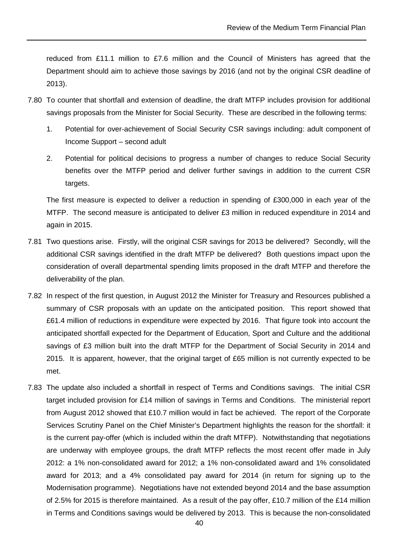reduced from £11.1 million to £7.6 million and the Council of Ministers has agreed that the Department should aim to achieve those savings by 2016 (and not by the original CSR deadline of 2013).

- 7.80 To counter that shortfall and extension of deadline, the draft MTFP includes provision for additional savings proposals from the Minister for Social Security. These are described in the following terms:
	- 1. Potential for over-achievement of Social Security CSR savings including: adult component of Income Support – second adult
	- 2. Potential for political decisions to progress a number of changes to reduce Social Security benefits over the MTFP period and deliver further savings in addition to the current CSR targets.

The first measure is expected to deliver a reduction in spending of £300,000 in each year of the MTFP. The second measure is anticipated to deliver £3 million in reduced expenditure in 2014 and again in 2015.

- 7.81 Two questions arise. Firstly, will the original CSR savings for 2013 be delivered? Secondly, will the additional CSR savings identified in the draft MTFP be delivered? Both questions impact upon the consideration of overall departmental spending limits proposed in the draft MTFP and therefore the deliverability of the plan.
- 7.82 In respect of the first question, in August 2012 the Minister for Treasury and Resources published a summary of CSR proposals with an update on the anticipated position. This report showed that £61.4 million of reductions in expenditure were expected by 2016. That figure took into account the anticipated shortfall expected for the Department of Education, Sport and Culture and the additional savings of £3 million built into the draft MTFP for the Department of Social Security in 2014 and 2015. It is apparent, however, that the original target of £65 million is not currently expected to be met.
- 7.83 The update also included a shortfall in respect of Terms and Conditions savings. The initial CSR target included provision for £14 million of savings in Terms and Conditions. The ministerial report from August 2012 showed that £10.7 million would in fact be achieved. The report of the Corporate Services Scrutiny Panel on the Chief Minister's Department highlights the reason for the shortfall: it is the current pay-offer (which is included within the draft MTFP). Notwithstanding that negotiations are underway with employee groups, the draft MTFP reflects the most recent offer made in July 2012: a 1% non-consolidated award for 2012; a 1% non-consolidated award and 1% consolidated award for 2013; and a 4% consolidated pay award for 2014 (in return for signing up to the Modernisation programme). Negotiations have not extended beyond 2014 and the base assumption of 2.5% for 2015 is therefore maintained. As a result of the pay offer, £10.7 million of the £14 million in Terms and Conditions savings would be delivered by 2013. This is because the non-consolidated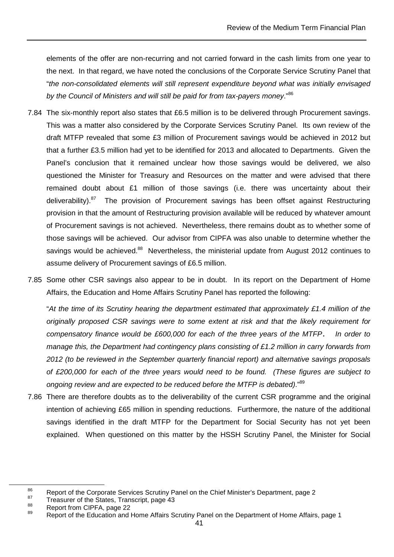elements of the offer are non-recurring and not carried forward in the cash limits from one year to the next. In that regard, we have noted the conclusions of the Corporate Service Scrutiny Panel that "the non-consolidated elements will still represent expenditure beyond what was initially envisaged by the Council of Ministers and will still be paid for from tax-payers money."<sup>86</sup>

- 7.84 The six-monthly report also states that £6.5 million is to be delivered through Procurement savings. This was a matter also considered by the Corporate Services Scrutiny Panel. Its own review of the draft MTFP revealed that some £3 million of Procurement savings would be achieved in 2012 but that a further £3.5 million had yet to be identified for 2013 and allocated to Departments. Given the Panel's conclusion that it remained unclear how those savings would be delivered, we also questioned the Minister for Treasury and Resources on the matter and were advised that there remained doubt about £1 million of those savings (i.e. there was uncertainty about their deliverability).<sup>87</sup> The provision of Procurement savings has been offset against Restructuring provision in that the amount of Restructuring provision available will be reduced by whatever amount of Procurement savings is not achieved. Nevertheless, there remains doubt as to whether some of those savings will be achieved. Our advisor from CIPFA was also unable to determine whether the savings would be achieved.<sup>88</sup> Nevertheless, the ministerial update from August 2012 continues to assume delivery of Procurement savings of £6.5 million.
- 7.85 Some other CSR savings also appear to be in doubt. In its report on the Department of Home Affairs, the Education and Home Affairs Scrutiny Panel has reported the following:

"At the time of its Scrutiny hearing the department estimated that approximately £1.4 million of the originally proposed CSR savings were to some extent at risk and that the likely requirement for compensatory finance would be £600,000 for each of the three years of the MTFP*.* In order to manage this, the Department had contingency plans consisting of £1.2 million in carry forwards from 2012 (to be reviewed in the September quarterly financial report) and alternative savings proposals of £200,000 for each of the three years would need to be found. (These figures are subject to ongoing review and are expected to be reduced before the MTFP is debated)."<sup>89</sup>

7.86 There are therefore doubts as to the deliverability of the current CSR programme and the original intention of achieving £65 million in spending reductions. Furthermore, the nature of the additional savings identified in the draft MTFP for the Department for Social Security has not yet been explained. When questioned on this matter by the HSSH Scrutiny Panel, the Minister for Social

<sup>86</sup> Report of the Corporate Services Scrutiny Panel on the Chief Minister's Department, page 2

<sup>&</sup>lt;sup>87</sup> Treasurer of the States, Transcript, page 43

 $\frac{88}{89}$  Report from CIPFA, page 22

Report of the Education and Home Affairs Scrutiny Panel on the Department of Home Affairs, page 1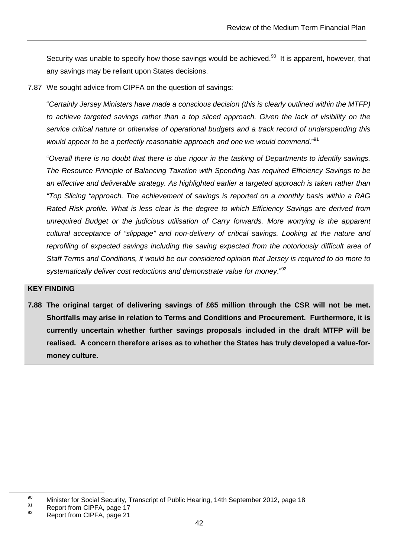Security was unable to specify how those savings would be achieved.<sup>90</sup> It is apparent, however, that any savings may be reliant upon States decisions.

7.87 We sought advice from CIPFA on the question of savings:

"Certainly Jersey Ministers have made a conscious decision (this is clearly outlined within the MTFP) to achieve targeted savings rather than a top sliced approach. Given the lack of visibility on the service critical nature or otherwise of operational budgets and a track record of underspending this would appear to be a perfectly reasonable approach and one we would commend."<sup>91</sup>

"Overall there is no doubt that there is due rigour in the tasking of Departments to identify savings. The Resource Principle of Balancing Taxation with Spending has required Efficiency Savings to be an effective and deliverable strategy. As highlighted earlier a targeted approach is taken rather than "Top Slicing "approach. The achievement of savings is reported on a monthly basis within a RAG Rated Risk profile. What is less clear is the degree to which Efficiency Savings are derived from unrequired Budget or the judicious utilisation of Carry forwards. More worrying is the apparent cultural acceptance of "slippage" and non-delivery of critical savings. Looking at the nature and reprofiling of expected savings including the saving expected from the notoriously difficult area of Staff Terms and Conditions, it would be our considered opinion that Jersey is required to do more to systematically deliver cost reductions and demonstrate value for money."<sup>92</sup>

#### **KEY FINDING**

**7.88 The original target of delivering savings of £65 million through the CSR will not be met. Shortfalls may arise in relation to Terms and Conditions and Procurement. Furthermore, it is currently uncertain whether further savings proposals included in the draft MTFP will be realised. A concern therefore arises as to whether the States has truly developed a value-formoney culture.** 

 $^{91}$  Report from CIPFA, page 17

<sup>90</sup> Minister for Social Security, Transcript of Public Hearing, 14th September 2012, page 18

Report from CIPFA, page 21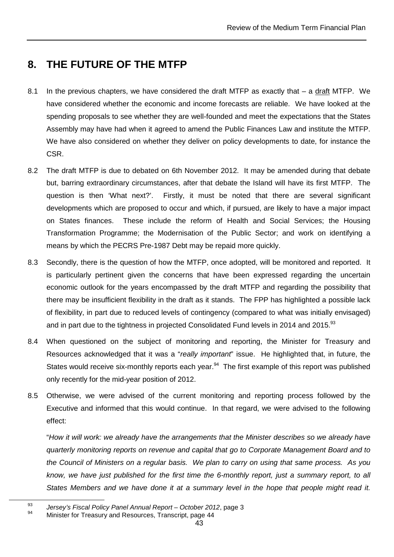## **8. THE FUTURE OF THE MTFP**

- 8.1 In the previous chapters, we have considered the draft MTFP as exactly that a draft MTFP. We have considered whether the economic and income forecasts are reliable. We have looked at the spending proposals to see whether they are well-founded and meet the expectations that the States Assembly may have had when it agreed to amend the Public Finances Law and institute the MTFP. We have also considered on whether they deliver on policy developments to date, for instance the CSR.
- 8.2 The draft MTFP is due to debated on 6th November 2012. It may be amended during that debate but, barring extraordinary circumstances, after that debate the Island will have its first MTFP. The question is then 'What next?'. Firstly, it must be noted that there are several significant developments which are proposed to occur and which, if pursued, are likely to have a major impact on States finances. These include the reform of Health and Social Services; the Housing Transformation Programme; the Modernisation of the Public Sector; and work on identifying a means by which the PECRS Pre-1987 Debt may be repaid more quickly.
- 8.3 Secondly, there is the question of how the MTFP, once adopted, will be monitored and reported. It is particularly pertinent given the concerns that have been expressed regarding the uncertain economic outlook for the years encompassed by the draft MTFP and regarding the possibility that there may be insufficient flexibility in the draft as it stands. The FPP has highlighted a possible lack of flexibility, in part due to reduced levels of contingency (compared to what was initially envisaged) and in part due to the tightness in projected Consolidated Fund levels in 2014 and 2015.<sup>93</sup>
- 8.4 When questioned on the subject of monitoring and reporting, the Minister for Treasury and Resources acknowledged that it was a "really important" issue. He highlighted that, in future, the States would receive six-monthly reports each year.<sup>94</sup> The first example of this report was published only recently for the mid-year position of 2012.
- 8.5 Otherwise, we were advised of the current monitoring and reporting process followed by the Executive and informed that this would continue. In that regard, we were advised to the following effect:

"How it will work: we already have the arrangements that the Minister describes so we already have quarterly monitoring reports on revenue and capital that go to Corporate Management Board and to the Council of Ministers on a regular basis. We plan to carry on using that same process. As you know, we have just published for the first time the 6-monthly report, just a summary report, to all States Members and we have done it at a summary level in the hope that people might read it.

<sup>93</sup>  $\frac{93}{24}$  Jersey's Fiscal Policy Panel Annual Report – October 2012, page 3

<sup>94</sup> Minister for Treasury and Resources, Transcript, page 44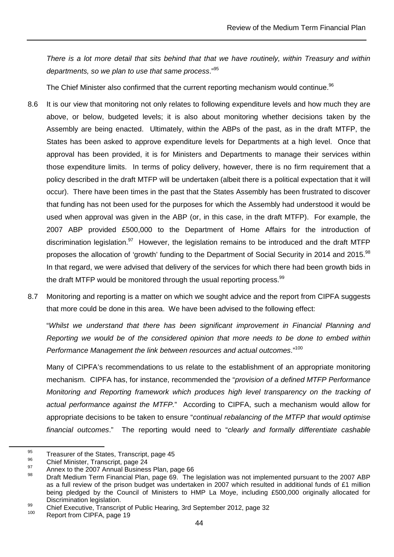There is a lot more detail that sits behind that that we have routinely, within Treasury and within departments, so we plan to use that same process."<sup>95</sup>

The Chief Minister also confirmed that the current reporting mechanism would continue.<sup>96</sup>

- 8.6 It is our view that monitoring not only relates to following expenditure levels and how much they are above, or below, budgeted levels; it is also about monitoring whether decisions taken by the Assembly are being enacted. Ultimately, within the ABPs of the past, as in the draft MTFP, the States has been asked to approve expenditure levels for Departments at a high level. Once that approval has been provided, it is for Ministers and Departments to manage their services within those expenditure limits. In terms of policy delivery, however, there is no firm requirement that a policy described in the draft MTFP will be undertaken (albeit there is a political expectation that it will occur). There have been times in the past that the States Assembly has been frustrated to discover that funding has not been used for the purposes for which the Assembly had understood it would be used when approval was given in the ABP (or, in this case, in the draft MTFP). For example, the 2007 ABP provided £500,000 to the Department of Home Affairs for the introduction of discrimination legislation. $97$  However, the legislation remains to be introduced and the draft MTFP proposes the allocation of 'growth' funding to the Department of Social Security in 2014 and 2015.<sup>98</sup> In that regard, we were advised that delivery of the services for which there had been growth bids in the draft MTFP would be monitored through the usual reporting process.  $99$
- 8.7 Monitoring and reporting is a matter on which we sought advice and the report from CIPFA suggests that more could be done in this area. We have been advised to the following effect:

 "Whilst we understand that there has been significant improvement in Financial Planning and Reporting we would be of the considered opinion that more needs to be done to embed within Performance Management the link between resources and actual outcomes."<sup>100</sup>

Many of CIPFA's recommendations to us relate to the establishment of an appropriate monitoring mechanism. CIPFA has, for instance, recommended the "provision of a defined MTFP Performance Monitoring and Reporting framework which produces high level transparency on the tracking of actual performance against the MTFP." According to CIPFA, such a mechanism would allow for appropriate decisions to be taken to ensure "continual rebalancing of the MTFP that would optimise financial outcomes." The reporting would need to "clearly and formally differentiate cashable

<sup>&</sup>lt;sup>95</sup> Treasurer of the States, Transcript, page 45

 $^{96}$  Chief Minister, Transcript, page 24

 $\frac{97}{28}$  Annex to the 2007 Annual Business Plan, page 66

Draft Medium Term Financial Plan, page 69. The legislation was not implemented pursuant to the 2007 ABP as a full review of the prison budget was undertaken in 2007 which resulted in additional funds of £1 million being pledged by the Council of Ministers to HMP La Moye, including £500,000 originally allocated for Discrimination legislation.

<sup>99</sup> Chief Executive, Transcript of Public Hearing, 3rd September 2012, page 32

Report from CIPFA, page 19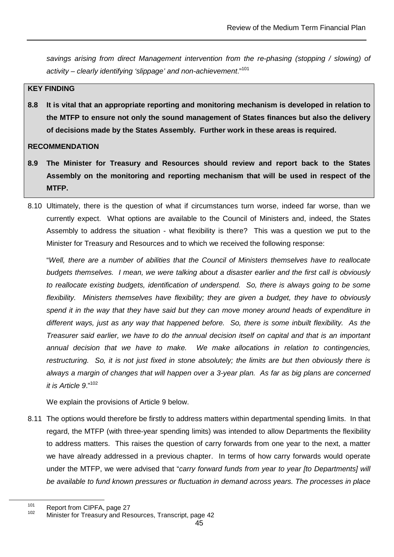savings arising from direct Management intervention from the re-phasing (stopping / slowing) of activity – clearly identifying 'slippage' and non-achievement."<sup>101</sup>

#### **KEY FINDING**

**8.8 It is vital that an appropriate reporting and monitoring mechanism is developed in relation to the MTFP to ensure not only the sound management of States finances but also the delivery of decisions made by the States Assembly. Further work in these areas is required.** 

#### **RECOMMENDATION**

- **8.9 The Minister for Treasury and Resources should review and report back to the States Assembly on the monitoring and reporting mechanism that will be used in respect of the MTFP.**
- 8.10 Ultimately, there is the question of what if circumstances turn worse, indeed far worse, than we currently expect. What options are available to the Council of Ministers and, indeed, the States Assembly to address the situation - what flexibility is there? This was a question we put to the Minister for Treasury and Resources and to which we received the following response:

"Well, there are a number of abilities that the Council of Ministers themselves have to reallocate budgets themselves. I mean, we were talking about a disaster earlier and the first call is obviously to reallocate existing budgets, identification of underspend. So, there is always going to be some flexibility. Ministers themselves have flexibility; they are given a budget, they have to obviously spend it in the way that they have said but they can move money around heads of expenditure in different ways, just as any way that happened before. So, there is some inbuilt flexibility. As the Treasurer said earlier, we have to do the annual decision itself on capital and that is an important annual decision that we have to make. We make allocations in relation to contingencies, restructuring. So, it is not just fixed in stone absolutely; the limits are but then obviously there is always a margin of changes that will happen over a 3-year plan. As far as big plans are concerned it is Article 9."<sup>102</sup>

We explain the provisions of Article 9 below.

8.11 The options would therefore be firstly to address matters within departmental spending limits. In that regard, the MTFP (with three-year spending limits) was intended to allow Departments the flexibility to address matters. This raises the question of carry forwards from one year to the next, a matter we have already addressed in a previous chapter. In terms of how carry forwards would operate under the MTFP, we were advised that "carry forward funds from year to year [to Departments] will be available to fund known pressures or fluctuation in demand across years. The processes in place

<sup>&</sup>lt;sup>101</sup> Report from CIPFA, page 27

Minister for Treasury and Resources, Transcript, page 42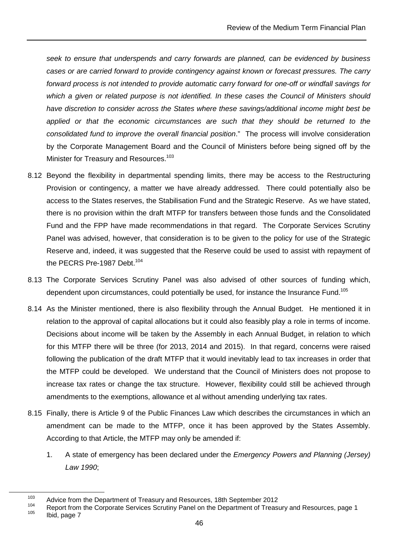seek to ensure that underspends and carry forwards are planned, can be evidenced by business cases or are carried forward to provide contingency against known or forecast pressures. The carry forward process is not intended to provide automatic carry forward for one-off or windfall savings for which a given or related purpose is not identified. In these cases the Council of Ministers should have discretion to consider across the States where these savings/additional income might best be applied or that the economic circumstances are such that they should be returned to the consolidated fund to improve the overall financial position." The process will involve consideration by the Corporate Management Board and the Council of Ministers before being signed off by the Minister for Treasury and Resources.<sup>103</sup>

- 8.12 Beyond the flexibility in departmental spending limits, there may be access to the Restructuring Provision or contingency, a matter we have already addressed. There could potentially also be access to the States reserves, the Stabilisation Fund and the Strategic Reserve. As we have stated, there is no provision within the draft MTFP for transfers between those funds and the Consolidated Fund and the FPP have made recommendations in that regard. The Corporate Services Scrutiny Panel was advised, however, that consideration is to be given to the policy for use of the Strategic Reserve and, indeed, it was suggested that the Reserve could be used to assist with repayment of the PECRS Pre-1987 Debt.<sup>104</sup>
- 8.13 The Corporate Services Scrutiny Panel was also advised of other sources of funding which, dependent upon circumstances, could potentially be used, for instance the Insurance Fund.<sup>105</sup>
- 8.14 As the Minister mentioned, there is also flexibility through the Annual Budget. He mentioned it in relation to the approval of capital allocations but it could also feasibly play a role in terms of income. Decisions about income will be taken by the Assembly in each Annual Budget, in relation to which for this MTFP there will be three (for 2013, 2014 and 2015). In that regard, concerns were raised following the publication of the draft MTFP that it would inevitably lead to tax increases in order that the MTFP could be developed. We understand that the Council of Ministers does not propose to increase tax rates or change the tax structure. However, flexibility could still be achieved through amendments to the exemptions, allowance et al without amending underlying tax rates.
- 8.15 Finally, there is Article 9 of the Public Finances Law which describes the circumstances in which an amendment can be made to the MTFP, once it has been approved by the States Assembly. According to that Article, the MTFP may only be amended if:
	- 1. A state of emergency has been declared under the *Emergency Powers and Planning (Jersey)* Law 1990;

<sup>&</sup>lt;sup>103</sup> Advice from the Department of Treasury and Resources, 18th September 2012

<sup>104</sup> Report from the Corporate Services Scrutiny Panel on the Department of Treasury and Resources, page 1<br>105 Lied nowe 7 Ibid, page 7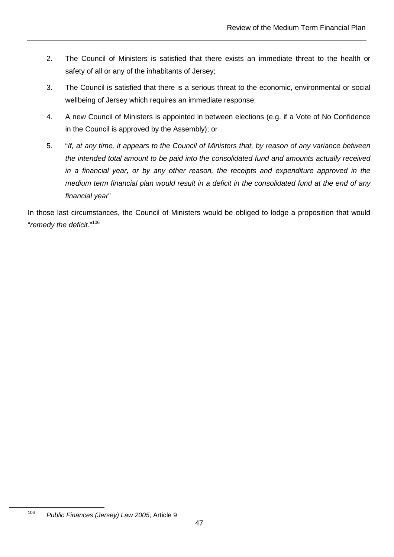- 2. The Council of Ministers is satisfied that there exists an immediate threat to the health or safety of all or any of the inhabitants of Jersey;
- 3. The Council is satisfied that there is a serious threat to the economic, environmental or social wellbeing of Jersey which requires an immediate response;
- 4. A new Council of Ministers is appointed in between elections (e.g. if a Vote of No Confidence in the Council is approved by the Assembly); or
- 5. "If, at any time, it appears to the Council of Ministers that, by reason of any variance between the intended total amount to be paid into the consolidated fund and amounts actually received in a financial year, or by any other reason, the receipts and expenditure approved in the medium term financial plan would result in a deficit in the consolidated fund at the end of any financial year"

In those last circumstances, the Council of Ministers would be obliged to lodge a proposition that would "remedy the deficit."<sup>106</sup>

<sup>106</sup> Public Finances (Jersey) Law 2005, Article 9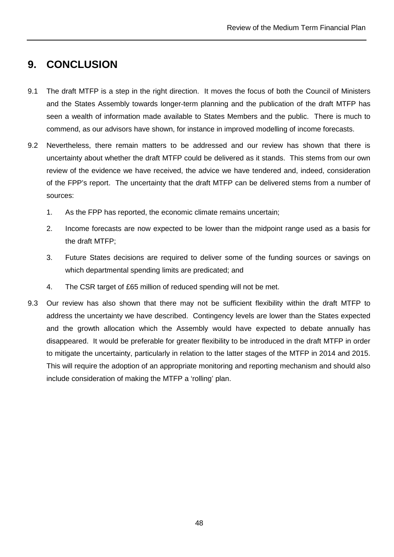## **9. CONCLUSION**

- 9.1 The draft MTFP is a step in the right direction. It moves the focus of both the Council of Ministers and the States Assembly towards longer-term planning and the publication of the draft MTFP has seen a wealth of information made available to States Members and the public. There is much to commend, as our advisors have shown, for instance in improved modelling of income forecasts.
- 9.2 Nevertheless, there remain matters to be addressed and our review has shown that there is uncertainty about whether the draft MTFP could be delivered as it stands. This stems from our own review of the evidence we have received, the advice we have tendered and, indeed, consideration of the FPP's report. The uncertainty that the draft MTFP can be delivered stems from a number of sources:
	- 1. As the FPP has reported, the economic climate remains uncertain;
	- 2. Income forecasts are now expected to be lower than the midpoint range used as a basis for the draft MTFP;
	- 3. Future States decisions are required to deliver some of the funding sources or savings on which departmental spending limits are predicated; and
	- 4. The CSR target of £65 million of reduced spending will not be met.
- 9.3 Our review has also shown that there may not be sufficient flexibility within the draft MTFP to address the uncertainty we have described. Contingency levels are lower than the States expected and the growth allocation which the Assembly would have expected to debate annually has disappeared. It would be preferable for greater flexibility to be introduced in the draft MTFP in order to mitigate the uncertainty, particularly in relation to the latter stages of the MTFP in 2014 and 2015. This will require the adoption of an appropriate monitoring and reporting mechanism and should also include consideration of making the MTFP a 'rolling' plan.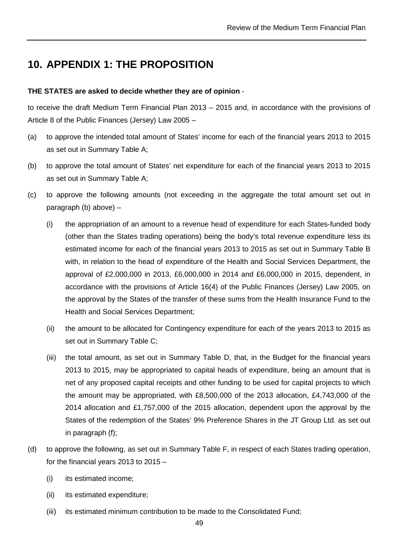## **10. APPENDIX 1: THE PROPOSITION**

#### **THE STATES are asked to decide whether they are of opinion** -

to receive the draft Medium Term Financial Plan 2013 – 2015 and, in accordance with the provisions of Article 8 of the Public Finances (Jersey) Law 2005 –

- (a) to approve the intended total amount of States' income for each of the financial years 2013 to 2015 as set out in Summary Table A;
- (b) to approve the total amount of States' net expenditure for each of the financial years 2013 to 2015 as set out in Summary Table A;
- (c) to approve the following amounts (not exceeding in the aggregate the total amount set out in paragraph (b) above) –
	- (i) the appropriation of an amount to a revenue head of expenditure for each States-funded body (other than the States trading operations) being the body's total revenue expenditure less its estimated income for each of the financial years 2013 to 2015 as set out in Summary Table B with, in relation to the head of expenditure of the Health and Social Services Department, the approval of £2,000,000 in 2013, £6,000,000 in 2014 and £6,000,000 in 2015, dependent, in accordance with the provisions of Article 16(4) of the Public Finances (Jersey) Law 2005, on the approval by the States of the transfer of these sums from the Health Insurance Fund to the Health and Social Services Department;
	- (ii) the amount to be allocated for Contingency expenditure for each of the years 2013 to 2015 as set out in Summary Table C;
	- (iii) the total amount, as set out in Summary Table D, that, in the Budget for the financial years 2013 to 2015, may be appropriated to capital heads of expenditure, being an amount that is net of any proposed capital receipts and other funding to be used for capital projects to which the amount may be appropriated, with £8,500,000 of the 2013 allocation, £4,743,000 of the 2014 allocation and £1,757,000 of the 2015 allocation, dependent upon the approval by the States of the redemption of the States' 9% Preference Shares in the JT Group Ltd. as set out in paragraph (f);
- (d) to approve the following, as set out in Summary Table F, in respect of each States trading operation, for the financial years 2013 to 2015 –
	- (i) its estimated income;
	- (ii) its estimated expenditure;
	- (iii) its estimated minimum contribution to be made to the Consolidated Fund;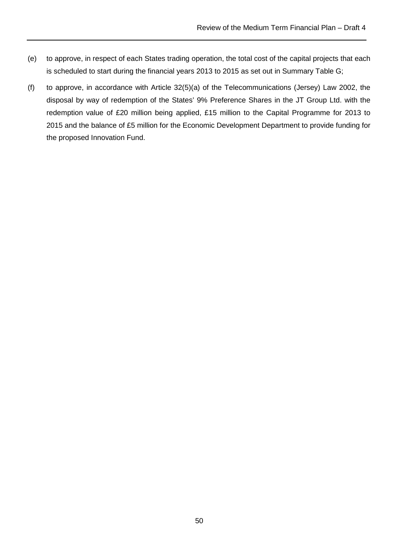- (e) to approve, in respect of each States trading operation, the total cost of the capital projects that each is scheduled to start during the financial years 2013 to 2015 as set out in Summary Table G;
- (f) to approve, in accordance with Article 32(5)(a) of the Telecommunications (Jersey) Law 2002, the disposal by way of redemption of the States' 9% Preference Shares in the JT Group Ltd. with the redemption value of £20 million being applied, £15 million to the Capital Programme for 2013 to 2015 and the balance of £5 million for the Economic Development Department to provide funding for the proposed Innovation Fund.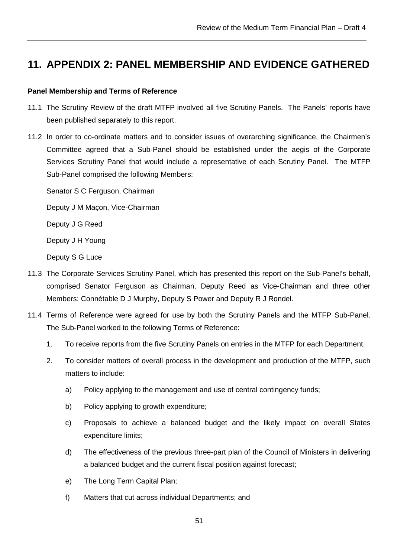## **11. APPENDIX 2: PANEL MEMBERSHIP AND EVIDENCE GATHERED**

#### **Panel Membership and Terms of Reference**

- 11.1 The Scrutiny Review of the draft MTFP involved all five Scrutiny Panels. The Panels' reports have been published separately to this report.
- 11.2 In order to co-ordinate matters and to consider issues of overarching significance, the Chairmen's Committee agreed that a Sub-Panel should be established under the aegis of the Corporate Services Scrutiny Panel that would include a representative of each Scrutiny Panel. The MTFP Sub-Panel comprised the following Members:

Senator S C Ferguson, Chairman

Deputy J M Maçon, Vice-Chairman

Deputy J G Reed

Deputy J H Young

Deputy S G Luce

- 11.3 The Corporate Services Scrutiny Panel, which has presented this report on the Sub-Panel's behalf, comprised Senator Ferguson as Chairman, Deputy Reed as Vice-Chairman and three other Members: Connétable D J Murphy, Deputy S Power and Deputy R J Rondel.
- 11.4 Terms of Reference were agreed for use by both the Scrutiny Panels and the MTFP Sub-Panel. The Sub-Panel worked to the following Terms of Reference:
	- 1. To receive reports from the five Scrutiny Panels on entries in the MTFP for each Department.
	- 2. To consider matters of overall process in the development and production of the MTFP, such matters to include:
		- a) Policy applying to the management and use of central contingency funds;
		- b) Policy applying to growth expenditure;
		- c) Proposals to achieve a balanced budget and the likely impact on overall States expenditure limits;
		- d) The effectiveness of the previous three-part plan of the Council of Ministers in delivering a balanced budget and the current fiscal position against forecast;
		- e) The Long Term Capital Plan;
		- f) Matters that cut across individual Departments; and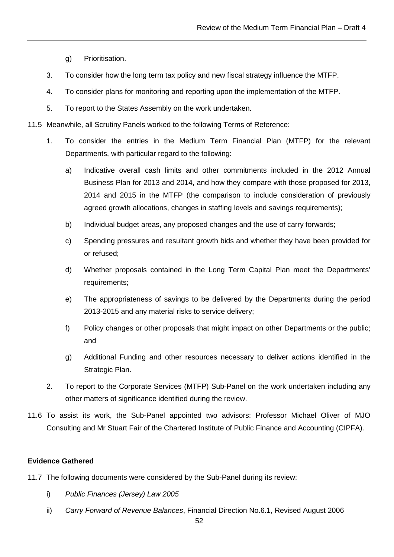- g) Prioritisation.
- 3. To consider how the long term tax policy and new fiscal strategy influence the MTFP.
- 4. To consider plans for monitoring and reporting upon the implementation of the MTFP.
- 5. To report to the States Assembly on the work undertaken.
- 11.5 Meanwhile, all Scrutiny Panels worked to the following Terms of Reference:
	- 1. To consider the entries in the Medium Term Financial Plan (MTFP) for the relevant Departments, with particular regard to the following:
		- a) Indicative overall cash limits and other commitments included in the 2012 Annual Business Plan for 2013 and 2014, and how they compare with those proposed for 2013, 2014 and 2015 in the MTFP (the comparison to include consideration of previously agreed growth allocations, changes in staffing levels and savings requirements);
		- b) Individual budget areas, any proposed changes and the use of carry forwards;
		- c) Spending pressures and resultant growth bids and whether they have been provided for or refused;
		- d) Whether proposals contained in the Long Term Capital Plan meet the Departments' requirements;
		- e) The appropriateness of savings to be delivered by the Departments during the period 2013-2015 and any material risks to service delivery;
		- f) Policy changes or other proposals that might impact on other Departments or the public; and
		- g) Additional Funding and other resources necessary to deliver actions identified in the Strategic Plan.
	- 2. To report to the Corporate Services (MTFP) Sub-Panel on the work undertaken including any other matters of significance identified during the review.
- 11.6 To assist its work, the Sub-Panel appointed two advisors: Professor Michael Oliver of MJO Consulting and Mr Stuart Fair of the Chartered Institute of Public Finance and Accounting (CIPFA).

#### **Evidence Gathered**

- 11.7 The following documents were considered by the Sub-Panel during its review:
	- i) Public Finances (Jersey) Law 2005
	- ii) Carry Forward of Revenue Balances, Financial Direction No.6.1, Revised August 2006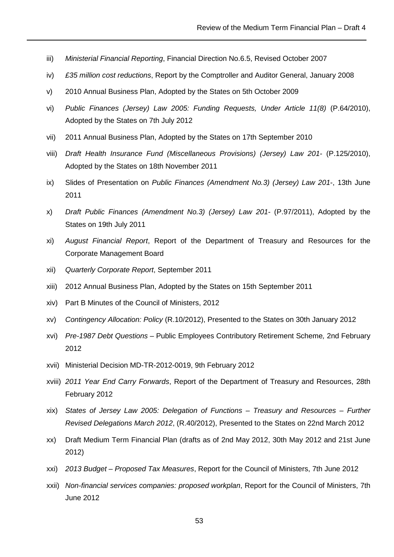- iii) Ministerial Financial Reporting, Financial Direction No.6.5, Revised October 2007
- iv) £35 million cost reductions, Report by the Comptroller and Auditor General, January 2008
- v) 2010 Annual Business Plan, Adopted by the States on 5th October 2009
- vi) Public Finances (Jersey) Law 2005: Funding Requests, Under Article 11(8) (P.64/2010), Adopted by the States on 7th July 2012
- vii) 2011 Annual Business Plan, Adopted by the States on 17th September 2010
- viii) Draft Health Insurance Fund (Miscellaneous Provisions) (Jersey) Law 201- (P.125/2010), Adopted by the States on 18th November 2011
- ix) Slides of Presentation on Public Finances (Amendment No.3) (Jersey) Law 201-, 13th June 2011
- x) Draft Public Finances (Amendment No.3) (Jersey) Law 201- (P.97/2011), Adopted by the States on 19th July 2011
- xi) August Financial Report, Report of the Department of Treasury and Resources for the Corporate Management Board
- xii) Quarterly Corporate Report, September 2011
- xiii) 2012 Annual Business Plan, Adopted by the States on 15th September 2011
- xiv) Part B Minutes of the Council of Ministers, 2012
- xv) Contingency Allocation: Policy (R.10/2012), Presented to the States on 30th January 2012
- xvi) Pre-1987 Debt Questions Public Employees Contributory Retirement Scheme, 2nd February 2012
- xvii) Ministerial Decision MD-TR-2012-0019, 9th February 2012
- xviii) 2011 Year End Carry Forwards, Report of the Department of Treasury and Resources, 28th February 2012
- xix) States of Jersey Law 2005: Delegation of Functions Treasury and Resources Further Revised Delegations March 2012, (R.40/2012), Presented to the States on 22nd March 2012
- xx) Draft Medium Term Financial Plan (drafts as of 2nd May 2012, 30th May 2012 and 21st June 2012)
- xxi) 2013 Budget Proposed Tax Measures, Report for the Council of Ministers, 7th June 2012
- xxii) Non-financial services companies: proposed workplan, Report for the Council of Ministers, 7th June 2012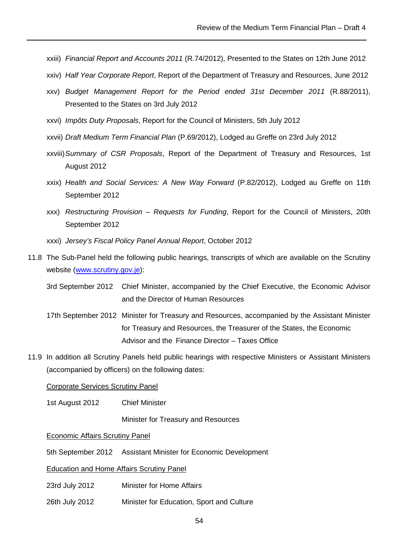- xxiii) Financial Report and Accounts 2011 (R.74/2012), Presented to the States on 12th June 2012
- xxiv) Half Year Corporate Report, Report of the Department of Treasury and Resources, June 2012
- xxv) Budget Management Report for the Period ended 31st December 2011 (R.88/2011), Presented to the States on 3rd July 2012
- xxvi) Impôts Duty Proposals, Report for the Council of Ministers, 5th July 2012
- xxvii) Draft Medium Term Financial Plan (P.69/2012), Lodged au Greffe on 23rd July 2012
- xxviii) Summary of CSR Proposals, Report of the Department of Treasury and Resources, 1st August 2012
- xxix) Health and Social Services: A New Way Forward (P.82/2012), Lodged au Greffe on 11th September 2012
- xxx) Restructuring Provision Requests for Funding, Report for the Council of Ministers, 20th September 2012
- xxxi) Jersey's Fiscal Policy Panel Annual Report, October 2012
- 11.8 The Sub-Panel held the following public hearings, transcripts of which are available on the Scrutiny website (www.scrutiny.gov.je):
	- 3rd September 2012 Chief Minister, accompanied by the Chief Executive, the Economic Advisor and the Director of Human Resources
	- 17th September 2012 Minister for Treasury and Resources, accompanied by the Assistant Minister for Treasury and Resources, the Treasurer of the States, the Economic Advisor and the Finance Director – Taxes Office
- 11.9 In addition all Scrutiny Panels held public hearings with respective Ministers or Assistant Ministers (accompanied by officers) on the following dates:

#### Corporate Services Scrutiny Panel

1st August 2012 Chief Minister

Minister for Treasury and Resources

#### Economic Affairs Scrutiny Panel

5th September 2012 Assistant Minister for Economic Development

#### Education and Home Affairs Scrutiny Panel

- 23rd July 2012 Minister for Home Affairs
- 26th July 2012 Minister for Education, Sport and Culture